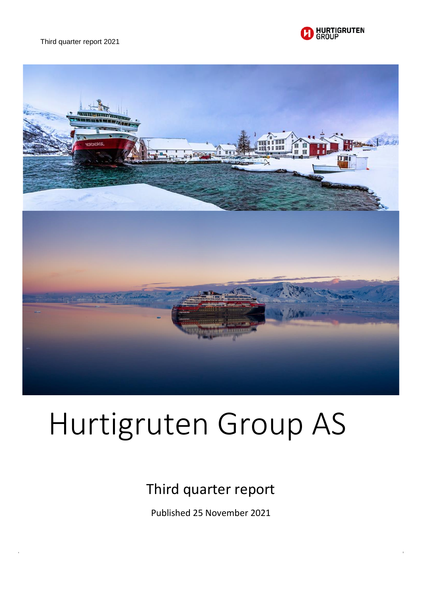



# Hurtigruten Group AS

# Third quarter report

Published 25 November 2021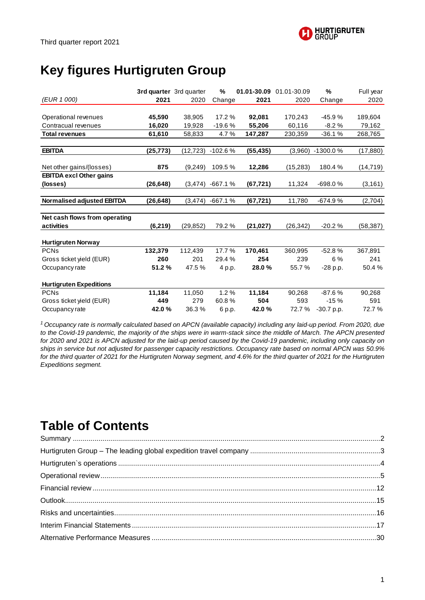

# **Key figures Hurtigruten Group**

|                                | 3rd quarter 3rd quarter |           | %         | 01.01-30.09 | 01.01-30.09 | %            | Full year |
|--------------------------------|-------------------------|-----------|-----------|-------------|-------------|--------------|-----------|
| (EUR 1 000)                    | 2021                    | 2020      | Change    | 2021        | 2020        | Change       | 2020      |
|                                |                         |           |           |             |             |              |           |
| Operational revenues           | 45,590                  | 38,905    | 17.2 %    | 92,081      | 170,243     | $-45.9%$     | 189,604   |
| Contracual revenues            | 16,020                  | 19,928    | $-19.6%$  | 55,206      | 60,116      | $-8.2%$      | 79,162    |
| <b>Total revenues</b>          | 61,610                  | 58,833    | 4.7%      | 147,287     | 230,359     | $-36.1%$     | 268,765   |
|                                |                         |           |           |             |             |              |           |
| <b>EBITDA</b>                  | (25, 773)               | (12, 723) | $-102.6%$ | (55, 435)   | (3,960)     | $-1300.0%$   | (17, 880) |
|                                |                         |           |           |             |             |              |           |
| Net other gains/(losses)       | 875                     | (9,249)   | 109.5%    | 12,286      | (15, 283)   | 180.4%       | (14, 719) |
| <b>EBITDA excl Other gains</b> |                         |           |           |             |             |              |           |
| (losses)                       | (26, 648)               | (3, 474)  | $-667.1%$ | (67, 721)   | 11,324      | $-698.0%$    | (3, 161)  |
|                                |                         |           |           |             |             |              |           |
| Normalised adjusted EBITDA     | (26, 648)               | (3, 474)  | $-667.1%$ | (67, 721)   | 11,780      | $-674.9%$    | (2,704)   |
|                                |                         |           |           |             |             |              |           |
| Net cash flows from operating  |                         |           |           |             |             |              |           |
| activities                     | (6, 219)                | (29, 852) | 79.2%     | (21, 027)   | (26, 342)   | $-20.2%$     | (58, 387) |
|                                |                         |           |           |             |             |              |           |
| <b>Hurtigruten Norway</b>      |                         |           |           |             |             |              |           |
| <b>PCNs</b>                    | 132,379                 | 112,439   | 17.7%     | 170,461     | 360,995     | $-52.8%$     | 367,891   |
| Gross ticket yield (EUR)       | 260                     | 201       | 29.4 %    | 254         | 239         | 6 %          | 241       |
| Occupancy rate                 | 51.2%                   | 47.5%     | 4 p.p.    | 28.0%       | 55.7 %      | -28 p.p.     | 50.4%     |
|                                |                         |           |           |             |             |              |           |
| <b>Hurtigruten Expeditions</b> |                         |           |           |             |             |              |           |
| <b>PCNs</b>                    | 11,184                  | 11,050    | 1.2%      | 11,184      | 90,268      | $-87.6%$     | 90,268    |
| Gross ticket yield (EUR)       | 449                     | 279       | 60.8%     | 504         | 593         | $-15%$       | 591       |
| Occupancy rate                 | 42.0%                   | 36.3%     | 6 p.p.    | 42.0%       | 72.7%       | $-30.7 p.p.$ | 72.7%     |

*<sup>1</sup> Occupancy rate is normally calculated based on APCN (available capacity) including any laid-up period. From 2020, due to the Covid-19 pandemic, the majority of the ships were in warm-stack since the middle of March. The APCN presented for 2020 and 2021 is APCN adjusted for the laid-up period caused by the Covid-19 pandemic, including only capacity on ships in service but not adjusted for passenger capacity restrictions. Occupancy rate based on normal APCN was 50.9% for the third quarter of 2021 for the Hurtigruten Norway segment, and 4.6% for the third quarter of 2021 for the Hurtigruten Expeditions segment.* 

# **Table of Contents**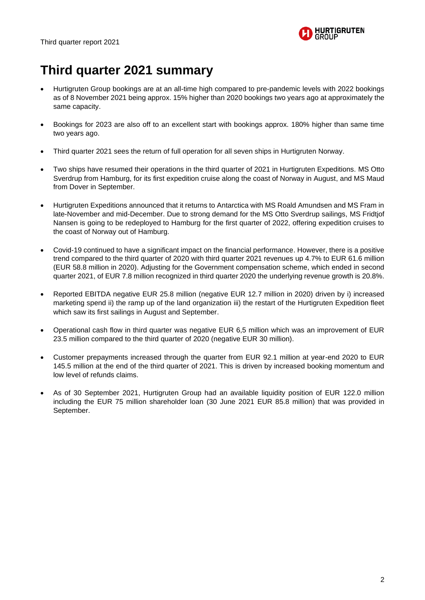

# **Third quarter 2021 summary**

- Hurtigruten Group bookings are at an all-time high compared to pre-pandemic levels with 2022 bookings as of 8 November 2021 being approx. 15% higher than 2020 bookings two years ago at approximately the same capacity.
- Bookings for 2023 are also off to an excellent start with bookings approx. 180% higher than same time two years ago.
- Third quarter 2021 sees the return of full operation for all seven ships in Hurtigruten Norway.
- Two ships have resumed their operations in the third quarter of 2021 in Hurtigruten Expeditions. MS Otto Sverdrup from Hamburg, for its first expedition cruise along the coast of Norway in August, and MS Maud from Dover in September.
- Hurtigruten Expeditions announced that it returns to Antarctica with MS Roald Amundsen and MS Fram in late-November and mid-December. Due to strong demand for the MS Otto Sverdrup sailings, MS Fridtjof Nansen is going to be redeployed to Hamburg for the first quarter of 2022, offering expedition cruises to the coast of Norway out of Hamburg.
- Covid-19 continued to have a significant impact on the financial performance. However, there is a positive trend compared to the third quarter of 2020 with third quarter 2021 revenues up 4.7% to EUR 61.6 million (EUR 58.8 million in 2020). Adjusting for the Government compensation scheme, which ended in second quarter 2021, of EUR 7.8 million recognized in third quarter 2020 the underlying revenue growth is 20.8%.
- Reported EBITDA negative EUR 25.8 million (negative EUR 12.7 million in 2020) driven by i) increased marketing spend ii) the ramp up of the land organization iii) the restart of the Hurtigruten Expedition fleet which saw its first sailings in August and September.
- Operational cash flow in third quarter was negative EUR 6,5 million which was an improvement of EUR 23.5 million compared to the third quarter of 2020 (negative EUR 30 million).
- Customer prepayments increased through the quarter from EUR 92.1 million at year-end 2020 to EUR 145.5 million at the end of the third quarter of 2021. This is driven by increased booking momentum and low level of refunds claims.
- As of 30 September 2021, Hurtigruten Group had an available liquidity position of EUR 122.0 million including the EUR 75 million shareholder loan (30 June 2021 EUR 85.8 million) that was provided in September.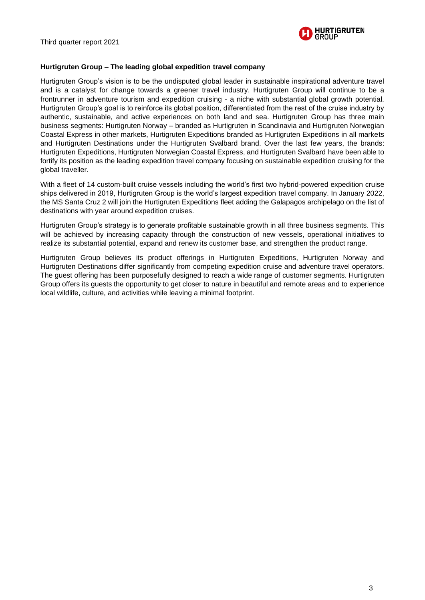

#### **Hurtigruten Group – The leading global expedition travel company**

Hurtigruten Group's vision is to be the undisputed global leader in sustainable inspirational adventure travel and is a catalyst for change towards a greener travel industry. Hurtigruten Group will continue to be a frontrunner in adventure tourism and expedition cruising - a niche with substantial global growth potential. Hurtigruten Group's goal is to reinforce its global position, differentiated from the rest of the cruise industry by authentic, sustainable, and active experiences on both land and sea. Hurtigruten Group has three main business segments: Hurtigruten Norway – branded as Hurtigruten in Scandinavia and Hurtigruten Norwegian Coastal Express in other markets, Hurtigruten Expeditions branded as Hurtigruten Expeditions in all markets and Hurtigruten Destinations under the Hurtigruten Svalbard brand. Over the last few years, the brands: Hurtigruten Expeditions, Hurtigruten Norwegian Coastal Express, and Hurtigruten Svalbard have been able to fortify its position as the leading expedition travel company focusing on sustainable expedition cruising for the global traveller.

With a fleet of 14 custom-built cruise vessels including the world's first two hybrid-powered expedition cruise ships delivered in 2019, Hurtigruten Group is the world's largest expedition travel company. In January 2022, the MS Santa Cruz 2 will join the Hurtigruten Expeditions fleet adding the Galapagos archipelago on the list of destinations with year around expedition cruises.

Hurtigruten Group's strategy is to generate profitable sustainable growth in all three business segments. This will be achieved by increasing capacity through the construction of new vessels, operational initiatives to realize its substantial potential, expand and renew its customer base, and strengthen the product range.

Hurtigruten Group believes its product offerings in Hurtigruten Expeditions, Hurtigruten Norway and Hurtigruten Destinations differ significantly from competing expedition cruise and adventure travel operators. The guest offering has been purposefully designed to reach a wide range of customer segments. Hurtigruten Group offers its guests the opportunity to get closer to nature in beautiful and remote areas and to experience local wildlife, culture, and activities while leaving a minimal footprint.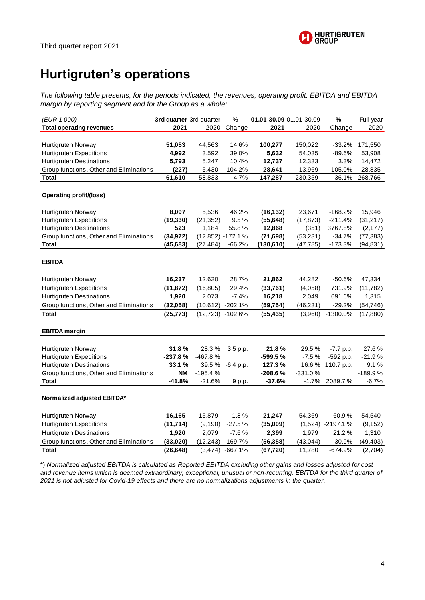

# **Hurtigruten's operations**

*The following table presents, for the periods indicated, the revenues, operating profit, EBITDA and EBITDA margin by reporting segment and for the Group as a whole:* 

| (EUR 1 000)                             | 3rd quarter 3rd quarter |           | %                 | 01.01-30.09 01.01-30.09 |           | %                 | Full year |
|-----------------------------------------|-------------------------|-----------|-------------------|-------------------------|-----------|-------------------|-----------|
| <b>Total operating revenues</b>         | 2021                    | 2020      | Change            | 2021                    | 2020      | Change            | 2020      |
|                                         |                         |           |                   |                         |           |                   |           |
| Hurtigruten Norway                      | 51,053                  | 44,563    | 14.6%             | 100,277                 | 150,022   | $-33.2%$          | 171,550   |
| <b>Hurtigruten Expeditions</b>          | 4,992                   | 3,592     | 39.0%             | 5,632                   | 54,035    | $-89.6%$          | 53,908    |
| <b>Hurtigruten Destinations</b>         | 5,793                   | 5,247     | 10.4%             | 12,737                  | 12,333    | 3.3%              | 14,472    |
| Group functions, Other and Eliminations | (227)                   | 5,430     | $-104.2%$         | 28,641                  | 13,969    | 105.0%            | 28,835    |
| Total                                   | 61,610                  | 58,833    | 4.7%              | 147,287                 | 230,359   | $-36.1%$          | 268,766   |
|                                         |                         |           |                   |                         |           |                   |           |
| <b>Operating profit/(loss)</b>          |                         |           |                   |                         |           |                   |           |
|                                         |                         |           |                   |                         |           |                   |           |
| Hurtigruten Norway                      | 8,097                   | 5,536     | 46.2%             | (16, 132)               | 23,671    | $-168.2%$         | 15,946    |
| <b>Hurtigruten Expeditions</b>          | (19, 330)               | (21, 352) | 9.5%              | (55, 648)               | (17, 873) | $-211.4%$         | (31, 217) |
| <b>Hurtigruten Destinations</b>         | 523                     | 1,184     | 55.8%             | 12,868                  | (351)     | 3767.8%           | (2, 177)  |
| Group functions, Other and Eliminations | (34, 972)               |           | (12,852) -172.1 % | (71, 698)               | (53, 231) | $-34.7%$          | (77, 383) |
| <b>Total</b>                            | (45, 683)               | (27, 484) | $-66.2%$          | (130, 610)              | (47, 785) | $-173.3%$         | (94, 831) |
|                                         |                         |           |                   |                         |           |                   |           |
| <b>EBITDA</b>                           |                         |           |                   |                         |           |                   |           |
|                                         |                         |           |                   |                         |           |                   |           |
| Hurtigruten Norway                      | 16,237                  | 12,620    | 28.7%             | 21,862                  | 44,282    | $-50.6%$          | 47,334    |
| <b>Hurtigruten Expeditions</b>          | (11, 872)               | (16, 805) | 29.4%             | (33,761)                | (4,058)   | 731.9%            | (11, 782) |
| <b>Hurtigruten Destinations</b>         | 1,920                   | 2,073     | $-7.4%$           | 16,218                  | 2,049     | 691.6%            | 1,315     |
| Group functions, Other and Eliminations | (32,058)                | (10, 612) | $-202.1%$         | (59, 754)               | (46, 231) | $-29.2%$          | (54, 746) |
| <b>Total</b>                            | (25, 773)               | (12, 723) | $-102.6%$         | (55, 435)               | (3,960)   | -1300.0%          | (17, 880) |
|                                         |                         |           |                   |                         |           |                   |           |
| <b>EBITDA</b> margin                    |                         |           |                   |                         |           |                   |           |
|                                         |                         |           |                   |                         |           |                   |           |
| Hurtigruten Norway                      | 31.8%                   | 28.3%     | 3.5 p.p.          | 21.8%                   | 29.5%     | $-7.7 p.p.$       | 27.6%     |
| <b>Hurtigruten Expeditions</b>          | -237.8%                 | -467.8%   |                   | -599.5%                 | $-7.5%$   | -592 p.p.         | $-21.9%$  |
| <b>Hurtigruten Destinations</b>         | 33.1%                   | 39.5%     | $-6.4 p.p.$       | 127.3%                  | 16.6%     | 110.7 p.p.        | 9.1%      |
| Group functions, Other and Eliminations | <b>NM</b>               | $-195.4%$ |                   | -208.6%                 | $-331.0%$ |                   | $-189.9%$ |
| <b>Total</b>                            | $-41.8%$                | $-21.6%$  | .9 p.p.           | $-37.6%$                | $-1.7%$   | 2089.7%           | -6.7%     |
| Normalized adjusted EBITDA*             |                         |           |                   |                         |           |                   |           |
|                                         |                         |           |                   |                         |           |                   |           |
| Hurtigruten Norway                      | 16,165                  | 15,879    | 1.8%              | 21,247                  | 54,369    | $-60.9%$          | 54,540    |
| <b>Hurtigruten Expeditions</b>          | (11, 714)               | (9, 190)  | $-27.5%$          | (35,009)                |           | (1,524) -2197.1 % | (9, 152)  |
| <b>Hurtigruten Destinations</b>         | 1,920                   | 2,079     | $-7.6%$           | 2,399                   | 1,979     | 21.2%             | 1,310     |
| Group functions, Other and Eliminations | (33, 020)               | (12, 243) | $-169.7%$         | (56, 358)               | (43, 044) | $-30.9%$          | (49, 403) |
| <b>Total</b>                            |                         |           |                   |                         |           |                   |           |
|                                         | (26, 648)               | (3, 474)  | $-667.1%$         | (67, 720)               | 11,780    | $-674.9%$         | (2,704)   |

\*) *Normalized adjusted EBITDA is calculated as Reported EBITDA excluding other gains and losses adjusted for cost and revenue items which is deemed extraordinary, exceptional, unusual or non-recurring. EBITDA for the third quarter of 2021 is not adjusted for Covid-19 effects and there are no normalizations adjustments in the quarter.*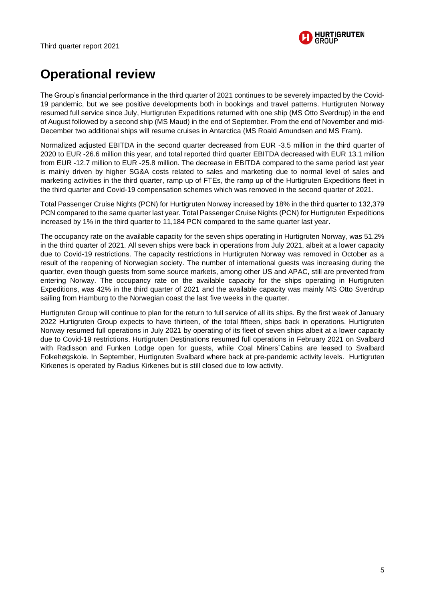

# **Operational review**

The Group's financial performance in the third quarter of 2021 continues to be severely impacted by the Covid-19 pandemic, but we see positive developments both in bookings and travel patterns. Hurtigruten Norway resumed full service since July, Hurtigruten Expeditions returned with one ship (MS Otto Sverdrup) in the end of August followed by a second ship (MS Maud) in the end of September. From the end of November and mid-December two additional ships will resume cruises in Antarctica (MS Roald Amundsen and MS Fram).

Normalized adjusted EBITDA in the second quarter decreased from EUR -3.5 million in the third quarter of 2020 to EUR -26.6 million this year, and total reported third quarter EBITDA decreased with EUR 13.1 million from EUR -12.7 million to EUR -25.8 million. The decrease in EBITDA compared to the same period last year is mainly driven by higher SG&A costs related to sales and marketing due to normal level of sales and marketing activities in the third quarter, ramp up of FTEs, the ramp up of the Hurtigruten Expeditions fleet in the third quarter and Covid-19 compensation schemes which was removed in the second quarter of 2021.

Total Passenger Cruise Nights (PCN) for Hurtigruten Norway increased by 18% in the third quarter to 132,379 PCN compared to the same quarter last year. Total Passenger Cruise Nights (PCN) for Hurtigruten Expeditions increased by 1% in the third quarter to 11,184 PCN compared to the same quarter last year.

The occupancy rate on the available capacity for the seven ships operating in Hurtigruten Norway, was 51.2% in the third quarter of 2021. All seven ships were back in operations from July 2021, albeit at a lower capacity due to Covid-19 restrictions. The capacity restrictions in Hurtigruten Norway was removed in October as a result of the reopening of Norwegian society. The number of international guests was increasing during the quarter, even though guests from some source markets, among other US and APAC, still are prevented from entering Norway. The occupancy rate on the available capacity for the ships operating in Hurtigruten Expeditions, was 42% in the third quarter of 2021 and the available capacity was mainly MS Otto Sverdrup sailing from Hamburg to the Norwegian coast the last five weeks in the quarter.

Hurtigruten Group will continue to plan for the return to full service of all its ships. By the first week of January 2022 Hurtigruten Group expects to have thirteen, of the total fifteen, ships back in operations. Hurtigruten Norway resumed full operations in July 2021 by operating of its fleet of seven ships albeit at a lower capacity due to Covid-19 restrictions. Hurtigruten Destinations resumed full operations in February 2021 on Svalbard with Radisson and Funken Lodge open for guests, while Coal Miners`Cabins are leased to Svalbard Folkehøgskole. In September, Hurtigruten Svalbard where back at pre-pandemic activity levels. Hurtigruten Kirkenes is operated by Radius Kirkenes but is still closed due to low activity.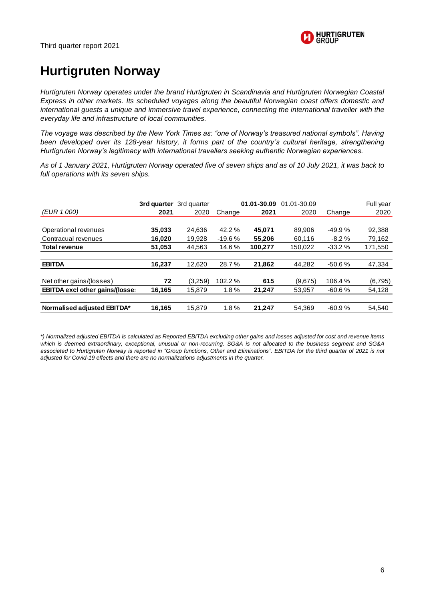

# **Hurtigruten Norway**

*Hurtigruten Norway operates under the brand Hurtigruten in Scandinavia and Hurtigruten Norwegian Coastal Express in other markets. Its scheduled voyages along the beautiful Norwegian coast offers domestic and international guests a unique and immersive travel experience, connecting the international traveller with the everyday life and infrastructure of local communities.* 

*The voyage was described by the New York Times as: "one of Norway's treasured national symbols". Having been developed over its 128-year history, it forms part of the country's cultural heritage, strengthening Hurtigruten Norway's legitimacy with international travellers seeking authentic Norwegian experiences.*

*As of 1 January 2021, Hurtigruten Norway operated five of seven ships and as of 10 July 2021, it was back to full operations with its seven ships.*

|                                        | <b>3rd quarter</b> 3rd quarter |         |          | 01.01-30.09 | 01.01-30.09 |          | Full year |
|----------------------------------------|--------------------------------|---------|----------|-------------|-------------|----------|-----------|
| (EUR 1 000)                            | 2021                           | 2020    | Change   | 2021        | 2020        | Change   | 2020      |
|                                        |                                |         |          |             |             |          |           |
| Operational revenues                   | 35,033                         | 24.636  | 42.2%    | 45.071      | 89,906      | $-49.9%$ | 92,388    |
| Contracual revenues                    | 16,020                         | 19,928  | $-19.6%$ | 55,206      | 60.116      | $-8.2%$  | 79,162    |
| <b>Total revenue</b>                   | 51,053                         | 44.563  | 14.6 %   | 100,277     | 150.022     | $-33.2%$ | 171,550   |
|                                        |                                |         |          |             |             |          |           |
| <b>EBITDA</b>                          | 16.237                         | 12.620  | 28.7%    | 21,862      | 44.282      | $-50.6%$ | 47,334    |
|                                        |                                |         |          |             |             |          |           |
| Net other gains/(losses)               | 72                             | (3.259) | 102.2%   | 615         | (9,675)     | 106.4 %  | (6, 795)  |
| <b>EBITDA excl other gains/(losse:</b> | 16,165                         | 15,879  | 1.8%     | 21,247      | 53,957      | $-60.6%$ | 54,128    |
|                                        |                                |         |          |             |             |          |           |
| Normalised adjusted EBITDA*            | 16,165                         | 15,879  | 1.8%     | 21.247      | 54.369      | $-60.9%$ | 54,540    |

*\*) Normalized adjusted EBITDA is calculated as Reported EBITDA excluding other gains and losses adjusted for cost and revenue items which is deemed extraordinary, exceptional, unusual or non-recurring. SG&A is not allocated to the business segment and SG&A associated to Hurtigruten Norway is reported in "Group functions, Other and Eliminations". EBITDA for the third quarter of 2021 is not adjusted for Covid-19 effects and there are no normalizations adjustments in the quarter.*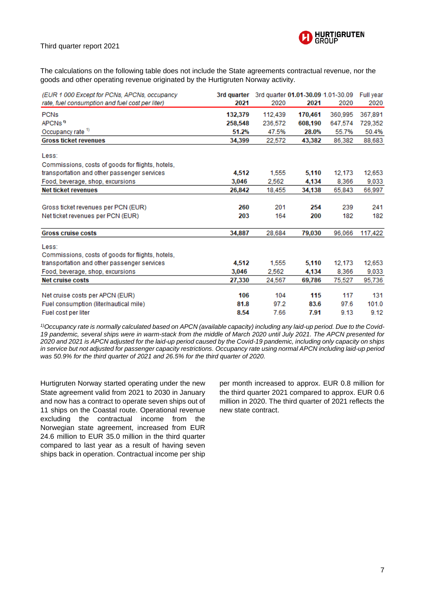

The calculations on the following table does not include the State agreements contractual revenue, nor the goods and other operating revenue originated by the Hurtigruten Norway activity.

| (EUR 1 000 Except for PCNs, APCNs, occupancy<br>rate, fuel consumption and fuel cost per liter) | 3rd quarter<br>2021 | 2020    | 3rd quarter 01.01-30.09 1.01-30.09<br>2021 | 2020    | <b>Full year</b><br>2020 |
|-------------------------------------------------------------------------------------------------|---------------------|---------|--------------------------------------------|---------|--------------------------|
| <b>PCNs</b>                                                                                     | 132,379             | 112.439 | 170,461                                    | 360,995 | 367,891                  |
| APCNs <sup>1</sup>                                                                              | 258,548             | 236,572 | 608,190                                    | 647,574 | 729,352                  |
| Occupancy rate <sup>1)</sup>                                                                    | 51.2%               | 47.5%   | 28.0%                                      | 55.7%   | 50.4%                    |
| <b>Gross ticket revenues</b>                                                                    | 34,399              | 22,572  | 43,382                                     | 86,382  | 88,683                   |
|                                                                                                 |                     |         |                                            |         |                          |
| Less:                                                                                           |                     |         |                                            |         |                          |
| Commissions, costs of goods for flights, hotels,                                                |                     |         |                                            |         |                          |
| transportation and other passenger services                                                     | 4,512               | 1,555   | 5,110                                      | 12.173  | 12,653                   |
| Food, beverage, shop, excursions                                                                | 3.046               | 2.562   | 4.134                                      | 8.366   | 9.033                    |
| <b>Net ticket revenues</b>                                                                      | 26,842              | 18,455  | 34,138                                     | 65,843  | 66.997                   |
|                                                                                                 |                     |         |                                            |         |                          |
| Gross ticket revenues per PCN (EUR)                                                             | 260                 | 201     | 254                                        | 239     | 241                      |
| Net ticket revenues per PCN (EUR)                                                               | 203                 | 164     | 200                                        | 182     | 182                      |
| <b>Gross cruise costs</b>                                                                       | 34,887              | 28,684  | 79,030                                     | 96.066  | 117,422                  |
| Less:                                                                                           |                     |         |                                            |         |                          |
| Commissions, costs of goods for flights, hotels,                                                |                     |         |                                            |         |                          |
| transportation and other passenger services                                                     | 4,512               | 1,555   | 5,110                                      | 12,173  | 12,653                   |
| Food, beverage, shop, excursions                                                                | 3.046               | 2,562   | 4.134                                      | 8.366   | 9,033                    |
| <b>Net cruise costs</b>                                                                         | 27,330              | 24,567  | 69,786                                     | 75,527  | 95,736                   |
| Net cruise costs per APCN (EUR)                                                                 | 106                 | 104     | 115                                        | 117     | 131                      |
| Fuel consumption (liter/nautical mile)                                                          | 81.8                | 97.2    | 83.6                                       | 97.6    | 101.0                    |
| Fuel cost per liter                                                                             | 8.54                | 7.66    | 7.91                                       | 9.13    | 9.12                     |

*1)Occupancy rate is normally calculated based on APCN (available capacity) including any laid-up period. Due to the Covid-19 pandemic, several ships were in warm-stack from the middle of March 2020 until July 2021. The APCN presented for 2020 and 2021 is APCN adjusted for the laid-up period caused by the Covid-19 pandemic, including only capacity on ships in service but not adjusted for passenger capacity restrictions. Occupancy rate using normal APCN including laid-up period was 50.9% for the third quarter of 2021 and 26.5% for the third quarter of 2020.*

Hurtigruten Norway started operating under the new State agreement valid from 2021 to 2030 in January and now has a contract to operate seven ships out of 11 ships on the Coastal route. Operational revenue excluding the contractual income from the Norwegian state agreement, increased from EUR 24.6 million to EUR 35.0 million in the third quarter compared to last year as a result of having seven ships back in operation. Contractual income per ship

per month increased to approx. EUR 0.8 million for the third quarter 2021 compared to approx. EUR 0.6 million in 2020. The third quarter of 2021 reflects the new state contract.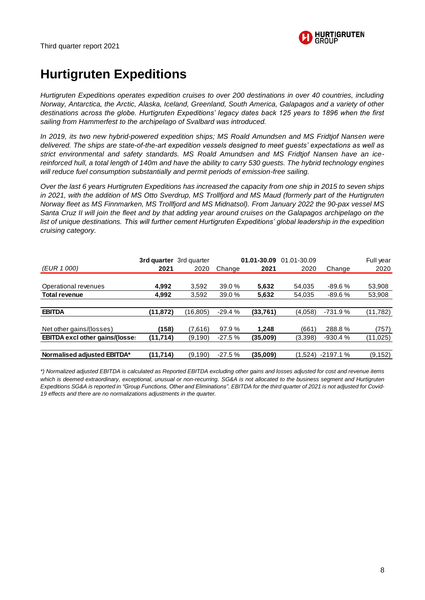

# **Hurtigruten Expeditions**

*Hurtigruten Expeditions operates expedition cruises to over 200 destinations in over 40 countries, including Norway, Antarctica, the Arctic, Alaska, Iceland, Greenland, South America, Galapagos and a variety of other destinations across the globe. Hurtigruten Expeditions' legacy dates back 125 years to 1896 when the first sailing from Hammerfest to the archipelago of Svalbard was introduced.* 

*In 2019, its two new hybrid-powered expedition ships; MS Roald Amundsen and MS Fridtjof Nansen were delivered. The ships are state-of-the-art expedition vessels designed to meet guests' expectations as well as strict environmental and safety standards. MS Roald Amundsen and MS Fridtjof Nansen have an icereinforced hull, a total length of 140m and have the ability to carry 530 guests. The hybrid technology engines will reduce fuel consumption substantially and permit periods of emission-free sailing.* 

*Over the last 6 years Hurtigruten Expeditions has increased the capacity from one ship in 2015 to seven ships in 2021, with the addition of MS Otto Sverdrup, MS Trollfjord and MS Maud (formerly part of the Hurtigruten Norway fleet as MS Finnmarken, MS Trollfjord and MS Midnatsol). From January 2022 the 90-pax vessel MS Santa Cruz II will join the fleet and by that adding year around cruises on the Galapagos archipelago on the list of unique destinations. This will further cement Hurtigruten Expeditions' global leadership in the expedition cruising category.*

|                                        | 3rd quarter 3rd quarter |           |          | 01.01-30.09 | 01.01-30.09 |            | Full year |
|----------------------------------------|-------------------------|-----------|----------|-------------|-------------|------------|-----------|
| (EUR 1 000)                            | 2021                    | 2020      | Change   | 2021        | 2020        | Change     | 2020      |
|                                        |                         |           |          |             |             |            |           |
| Operational revenues                   | 4,992                   | 3,592     | 39.0 %   | 5,632       | 54,035      | $-89.6%$   | 53,908    |
| <b>Total revenue</b>                   | 4,992                   | 3,592     | 39.0 %   | 5,632       | 54,035      | $-89.6%$   | 53,908    |
|                                        |                         |           |          |             |             |            |           |
| <b>EBITDA</b>                          | (11,872)                | (16, 805) | $-29.4%$ | (33,761)    | (4,058)     | $-731.9%$  | (11,782)  |
|                                        |                         |           |          |             |             |            |           |
| Net other gains/(losses)               | (158)                   | (7,616)   | 97.9%    | 1.248       | (661)       | 288.8%     | (757)     |
| <b>EBITDA excl other gains/(losse:</b> | (11, 714)               | (9,190)   | $-27.5%$ | (35,009)    | (3,398)     | $-930.4%$  | (11, 025) |
|                                        |                         |           |          |             |             |            |           |
| Normalised adjusted EBITDA*            | (11, 714)               | (9.190)   | $-27.5%$ | (35,009)    | (1,524)     | $-2197.1%$ | (9, 152)  |

*\*) Normalized adjusted EBITDA is calculated as Reported EBITDA excluding other gains and losses adjusted for cost and revenue items which is deemed extraordinary, exceptional, unusual or non-recurring. SG&A is not allocated to the business segment and Hurtigruten Expeditions SG&A is reported in "Group Functions, Other and Eliminations". EBITDA for the third quarter of 2021 is not adjusted for Covid-19 effects and there are no normalizations adjustments in the quarter.*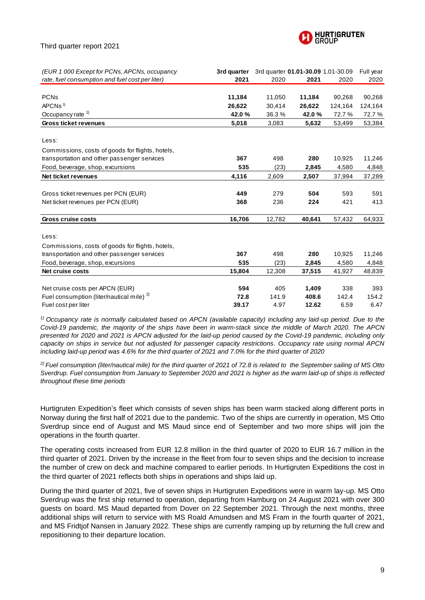

| 2021<br>rate, fuel consumption and fuel cost per liter)<br>2020<br>2021<br>2020<br>2020<br><b>PCNs</b><br>11,184<br>11,050<br>11,184<br>90,268<br>90,268<br>APCNs $1$<br>26,622<br>26,622<br>124,164<br>124,164<br>30,414<br>Occupancy rate <sup>1)</sup><br>42.0%<br>36.3%<br>72.7%<br>72.7%<br>42.0%<br>Gross ticket revenues<br>5,018<br>3,083<br>5,632<br>53,384<br>53,499<br>Less:<br>Commissions, costs of goods for flights, hotels,<br>367<br>280<br>transportation and other passenger services<br>498<br>10,925<br>11,246<br>Food, beverage, shop, excursions<br>535<br>(23)<br>4,580<br>4,848<br>2,845<br>Net ticket revenues<br>4,116<br>2,609<br>2,507<br>37,994<br>37,289<br>449<br>504<br>Gross ticket revenues per PCN (EUR)<br>279<br>593<br>591<br>Net ticket revenues per PCN (EUR)<br>413<br>368<br>236<br>224<br>421<br>16,706<br>64,933<br><b>Gross cruise costs</b><br>12,782<br>40,641<br>57,432<br>Less:<br>Commissions, costs of goods for flights, hotels,<br>367<br>transportation and other passenger services<br>498<br>280<br>10,925<br>11,246<br>Food, beverage, shop, excursions<br>535<br>(23)<br>4,848<br>2,845<br>4,580<br><b>Net cruise costs</b><br>15,804<br>12,308<br>37,515<br>41,927<br>48,839<br>Net cruise costs per APCN (EUR)<br>594<br>405<br>1,409<br>338<br>393<br>Fuel consumption (liter/nautical mile) <sup>2)</sup><br>408.6<br>72.8<br>141.9<br>142.4<br>154.2<br>Fuel cost per liter<br>39.17<br>4.97<br>12.62<br>6.59<br>6.47 | (EUR 1 000 Except for PCNs, APCNs, occupancy | 3rd quarter | Full year |  |  |
|---------------------------------------------------------------------------------------------------------------------------------------------------------------------------------------------------------------------------------------------------------------------------------------------------------------------------------------------------------------------------------------------------------------------------------------------------------------------------------------------------------------------------------------------------------------------------------------------------------------------------------------------------------------------------------------------------------------------------------------------------------------------------------------------------------------------------------------------------------------------------------------------------------------------------------------------------------------------------------------------------------------------------------------------------------------------------------------------------------------------------------------------------------------------------------------------------------------------------------------------------------------------------------------------------------------------------------------------------------------------------------------------------------------------------------------------------------------------------------------|----------------------------------------------|-------------|-----------|--|--|
|                                                                                                                                                                                                                                                                                                                                                                                                                                                                                                                                                                                                                                                                                                                                                                                                                                                                                                                                                                                                                                                                                                                                                                                                                                                                                                                                                                                                                                                                                       |                                              |             |           |  |  |
|                                                                                                                                                                                                                                                                                                                                                                                                                                                                                                                                                                                                                                                                                                                                                                                                                                                                                                                                                                                                                                                                                                                                                                                                                                                                                                                                                                                                                                                                                       |                                              |             |           |  |  |
|                                                                                                                                                                                                                                                                                                                                                                                                                                                                                                                                                                                                                                                                                                                                                                                                                                                                                                                                                                                                                                                                                                                                                                                                                                                                                                                                                                                                                                                                                       |                                              |             |           |  |  |
|                                                                                                                                                                                                                                                                                                                                                                                                                                                                                                                                                                                                                                                                                                                                                                                                                                                                                                                                                                                                                                                                                                                                                                                                                                                                                                                                                                                                                                                                                       |                                              |             |           |  |  |
|                                                                                                                                                                                                                                                                                                                                                                                                                                                                                                                                                                                                                                                                                                                                                                                                                                                                                                                                                                                                                                                                                                                                                                                                                                                                                                                                                                                                                                                                                       |                                              |             |           |  |  |
|                                                                                                                                                                                                                                                                                                                                                                                                                                                                                                                                                                                                                                                                                                                                                                                                                                                                                                                                                                                                                                                                                                                                                                                                                                                                                                                                                                                                                                                                                       |                                              |             |           |  |  |
|                                                                                                                                                                                                                                                                                                                                                                                                                                                                                                                                                                                                                                                                                                                                                                                                                                                                                                                                                                                                                                                                                                                                                                                                                                                                                                                                                                                                                                                                                       |                                              |             |           |  |  |
|                                                                                                                                                                                                                                                                                                                                                                                                                                                                                                                                                                                                                                                                                                                                                                                                                                                                                                                                                                                                                                                                                                                                                                                                                                                                                                                                                                                                                                                                                       |                                              |             |           |  |  |
|                                                                                                                                                                                                                                                                                                                                                                                                                                                                                                                                                                                                                                                                                                                                                                                                                                                                                                                                                                                                                                                                                                                                                                                                                                                                                                                                                                                                                                                                                       |                                              |             |           |  |  |
|                                                                                                                                                                                                                                                                                                                                                                                                                                                                                                                                                                                                                                                                                                                                                                                                                                                                                                                                                                                                                                                                                                                                                                                                                                                                                                                                                                                                                                                                                       |                                              |             |           |  |  |
|                                                                                                                                                                                                                                                                                                                                                                                                                                                                                                                                                                                                                                                                                                                                                                                                                                                                                                                                                                                                                                                                                                                                                                                                                                                                                                                                                                                                                                                                                       |                                              |             |           |  |  |
|                                                                                                                                                                                                                                                                                                                                                                                                                                                                                                                                                                                                                                                                                                                                                                                                                                                                                                                                                                                                                                                                                                                                                                                                                                                                                                                                                                                                                                                                                       |                                              |             |           |  |  |
|                                                                                                                                                                                                                                                                                                                                                                                                                                                                                                                                                                                                                                                                                                                                                                                                                                                                                                                                                                                                                                                                                                                                                                                                                                                                                                                                                                                                                                                                                       |                                              |             |           |  |  |
|                                                                                                                                                                                                                                                                                                                                                                                                                                                                                                                                                                                                                                                                                                                                                                                                                                                                                                                                                                                                                                                                                                                                                                                                                                                                                                                                                                                                                                                                                       |                                              |             |           |  |  |
|                                                                                                                                                                                                                                                                                                                                                                                                                                                                                                                                                                                                                                                                                                                                                                                                                                                                                                                                                                                                                                                                                                                                                                                                                                                                                                                                                                                                                                                                                       |                                              |             |           |  |  |
|                                                                                                                                                                                                                                                                                                                                                                                                                                                                                                                                                                                                                                                                                                                                                                                                                                                                                                                                                                                                                                                                                                                                                                                                                                                                                                                                                                                                                                                                                       |                                              |             |           |  |  |
|                                                                                                                                                                                                                                                                                                                                                                                                                                                                                                                                                                                                                                                                                                                                                                                                                                                                                                                                                                                                                                                                                                                                                                                                                                                                                                                                                                                                                                                                                       |                                              |             |           |  |  |
|                                                                                                                                                                                                                                                                                                                                                                                                                                                                                                                                                                                                                                                                                                                                                                                                                                                                                                                                                                                                                                                                                                                                                                                                                                                                                                                                                                                                                                                                                       |                                              |             |           |  |  |
|                                                                                                                                                                                                                                                                                                                                                                                                                                                                                                                                                                                                                                                                                                                                                                                                                                                                                                                                                                                                                                                                                                                                                                                                                                                                                                                                                                                                                                                                                       |                                              |             |           |  |  |
|                                                                                                                                                                                                                                                                                                                                                                                                                                                                                                                                                                                                                                                                                                                                                                                                                                                                                                                                                                                                                                                                                                                                                                                                                                                                                                                                                                                                                                                                                       |                                              |             |           |  |  |
|                                                                                                                                                                                                                                                                                                                                                                                                                                                                                                                                                                                                                                                                                                                                                                                                                                                                                                                                                                                                                                                                                                                                                                                                                                                                                                                                                                                                                                                                                       |                                              |             |           |  |  |
|                                                                                                                                                                                                                                                                                                                                                                                                                                                                                                                                                                                                                                                                                                                                                                                                                                                                                                                                                                                                                                                                                                                                                                                                                                                                                                                                                                                                                                                                                       |                                              |             |           |  |  |
|                                                                                                                                                                                                                                                                                                                                                                                                                                                                                                                                                                                                                                                                                                                                                                                                                                                                                                                                                                                                                                                                                                                                                                                                                                                                                                                                                                                                                                                                                       |                                              |             |           |  |  |

*1) Occupancy rate is normally calculated based on APCN (available capacity) including any laid-up period. Due to the Covid-19 pandemic, the majority of the ships have been in warm-stack since the middle of March 2020. The APCN presented for 2020 and 2021 is APCN adjusted for the laid-up period caused by the Covid-19 pandemic, including only capacity on ships in service but not adjusted for passenger capacity restrictions. Occupancy rate using normal APCN including laid-up period was 4.6% for the third quarter of 2021 and 7.0% for the third quarter of 2020*

*2) Fuel consumption (liter/nautical mile) for the third quarter of 2021 of 72.8 is related to the September sailing of MS Otto Sverdrup. Fuel consumption from January to September 2020 and 2021 is higher as the warm laid-up of ships is reflected throughout these time periods*

Hurtigruten Expedition's fleet which consists of seven ships has been warm stacked along different ports in Norway during the first half of 2021 due to the pandemic. Two of the ships are currently in operation, MS Otto Sverdrup since end of August and MS Maud since end of September and two more ships will join the operations in the fourth quarter.

The operating costs increased from EUR 12.8 million in the third quarter of 2020 to EUR 16.7 million in the third quarter of 2021. Driven by the increase in the fleet from four to seven ships and the decision to increase the number of crew on deck and machine compared to earlier periods. In Hurtigruten Expeditions the cost in the third quarter of 2021 reflects both ships in operations and ships laid up.

During the third quarter of 2021, five of seven ships in Hurtigruten Expeditions were in warm lay-up. MS Otto Sverdrup was the first ship returned to operation, departing from Hamburg on 24 August 2021 with over 300 guests on board. MS Maud departed from Dover on 22 September 2021. Through the next months, three additional ships will return to service with MS Roald Amundsen and MS Fram in the fourth quarter of 2021, and MS Fridtjof Nansen in January 2022. These ships are currently ramping up by returning the full crew and repositioning to their departure location.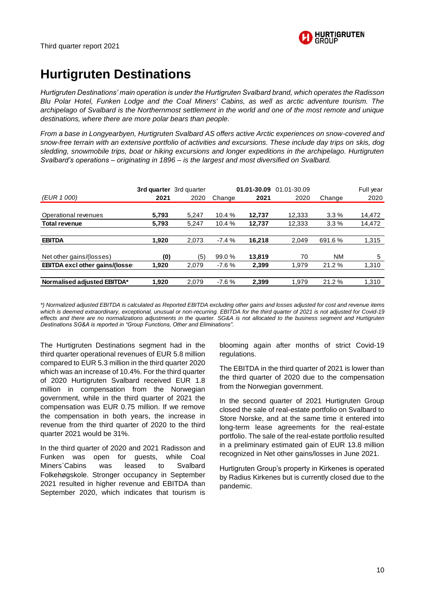

### **Hurtigruten Destinations**

*Hurtigruten Destinations' main operation is under the Hurtigruten Svalbard brand, which operates the Radisson Blu Polar Hotel, Funken Lodge and the Coal Miners' Cabins, as well as arctic adventure tourism. The archipelago of Svalbard is the Northernmost settlement in the world and one of the most remote and unique destinations, where there are more polar bears than people.* 

*From a base in Longyearbyen, Hurtigruten Svalbard AS offers active Arctic experiences on snow-covered and snow-free terrain with an extensive portfolio of activities and excursions. These include day trips on skis, dog sledding, snowmobile trips, boat or hiking excursions and longer expeditions in the archipelago. Hurtigruten Svalbard's operations – originating in 1896 – is the largest and most diversified on Svalbard.* 

|                                        | 3rd quarter 3rd quarter |       |         | 01.01-30.09 | 01.01-30.09 |        | Full year |
|----------------------------------------|-------------------------|-------|---------|-------------|-------------|--------|-----------|
| (EUR 1 000)                            | 2021                    | 2020  | Change  | 2021        | 2020        | Change | 2020      |
|                                        |                         |       |         |             |             |        |           |
| Operational revenues                   | 5,793                   | 5.247 | 10.4%   | 12.737      | 12,333      | 3.3%   | 14,472    |
| <b>Total revenue</b>                   | 5,793                   | 5.247 | 10.4 %  | 12,737      | 12,333      | 3.3%   | 14,472    |
|                                        |                         |       |         |             |             |        |           |
| <b>EBITDA</b>                          | 1,920                   | 2,073 | $-7.4%$ | 16,218      | 2,049       | 691.6% | 1,315     |
|                                        |                         |       |         |             |             |        |           |
| Net other gains/(losses)               | (0)                     | (5)   | 99.0%   | 13,819      | 70          | NΜ     | 5         |
| <b>EBITDA excl other gains/(losse:</b> | 1,920                   | 2.079 | $-7.6%$ | 2,399       | 1.979       | 21.2%  | 1,310     |
|                                        |                         |       |         |             |             |        |           |
| Normalised adjusted EBITDA*            | 1,920                   | 2.079 | $-7.6%$ | 2,399       | 1.979       | 21.2%  | 1,310     |

*\*) Normalized adjusted EBITDA is calculated as Reported EBITDA excluding other gains and losses adjusted for cost and revenue items which is deemed extraordinary, exceptional, unusual or non-recurring. EBITDA for the third quarter of 2021 is not adjusted for Covid-19 effects and there are no normalizations adjustments in the quarter. SG&A is not allocated to the business segment and Hurtigruten Destinations SG&A is reported in "Group Functions, Other and Eliminations".*

The Hurtigruten Destinations segment had in the third quarter operational revenues of EUR 5.8 million compared to EUR 5.3 million in the third quarter 2020 which was an increase of 10.4%. For the third quarter of 2020 Hurtigruten Svalbard received EUR 1.8 million in compensation from the Norwegian government, while in the third quarter of 2021 the compensation was EUR 0.75 million. If we remove the compensation in both years, the increase in revenue from the third quarter of 2020 to the third quarter 2021 would be 31%.

In the third quarter of 2020 and 2021 Radisson and Funken was open for guests, while Coal Miners`Cabins was leased to Svalbard Folkehøgskole. Stronger occupancy in September 2021 resulted in higher revenue and EBITDA than September 2020, which indicates that tourism is

blooming again after months of strict Covid-19 regulations.

The EBITDA in the third quarter of 2021 is lower than the third quarter of 2020 due to the compensation from the Norwegian government.

In the second quarter of 2021 Hurtigruten Group closed the sale of real-estate portfolio on Svalbard to Store Norske, and at the same time it entered into long-term lease agreements for the real-estate portfolio. The sale of the real-estate portfolio resulted in a preliminary estimated gain of EUR 13.8 million recognized in Net other gains/losses in June 2021.

Hurtigruten Group's property in Kirkenes is operated by Radius Kirkenes but is currently closed due to the pandemic.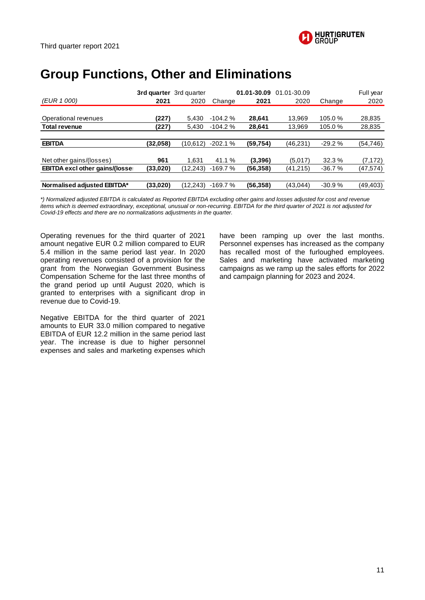

# **Group Functions, Other and Eliminations**

|                                        | 3rd quarter 3rd quarter |           |           | 01.01-30.09 | 01.01-30.09 |          | Full year |
|----------------------------------------|-------------------------|-----------|-----------|-------------|-------------|----------|-----------|
| (EUR 1 000)                            | 2021                    | 2020      | Change    | 2021        | 2020        | Change   | 2020      |
|                                        |                         |           |           |             |             |          |           |
| Operational revenues                   | (227)                   | 5.430     | $-104.2%$ | 28,641      | 13.969      | 105.0%   | 28,835    |
| <b>Total revenue</b>                   | (227)                   | 5,430     | $-104.2%$ | 28,641      | 13.969      | 105.0%   | 28,835    |
|                                        |                         |           |           |             |             |          |           |
| <b>EBITDA</b>                          | (32,058)                | (10,612)  | $-202.1%$ | (59, 754)   | (46,231)    | $-29.2%$ | (54, 746) |
|                                        |                         |           |           |             |             |          |           |
| Net other gains/(losses)               | 961                     | 1.631     | 41.1 %    | (3,396)     | (5.017)     | 32.3%    | (7, 172)  |
| <b>EBITDA excl other gains/(losse:</b> | (33,020)                | (12, 243) | $-169.7%$ | (56, 358)   | (41,215)    | $-36.7%$ | (47,574)  |
|                                        |                         |           |           |             |             |          |           |
| Normalised adjusted EBITDA*            | (33, 020)               | (12, 243) | $-169.7%$ | (56, 358)   | (43,044)    | $-30.9%$ | (49,403)  |

*\*) Normalized adjusted EBITDA is calculated as Reported EBITDA excluding other gains and losses adjusted for cost and revenue items which is deemed extraordinary, exceptional, unusual or non-recurring. EBITDA for the third quarter of 2021 is not adjusted for Covid-19 effects and there are no normalizations adjustments in the quarter.*

Operating revenues for the third quarter of 2021 amount negative EUR 0.2 million compared to EUR 5.4 million in the same period last year. In 2020 operating revenues consisted of a provision for the grant from the Norwegian Government Business Compensation Scheme for the last three months of the grand period up until August 2020, which is granted to enterprises with a significant drop in revenue due to Covid-19.

Negative EBITDA for the third quarter of 2021 amounts to EUR 33.0 million compared to negative EBITDA of EUR 12.2 million in the same period last year. The increase is due to higher personnel expenses and sales and marketing expenses which

have been ramping up over the last months. Personnel expenses has increased as the company has recalled most of the furloughed employees. Sales and marketing have activated marketing campaigns as we ramp up the sales efforts for 2022 and campaign planning for 2023 and 2024.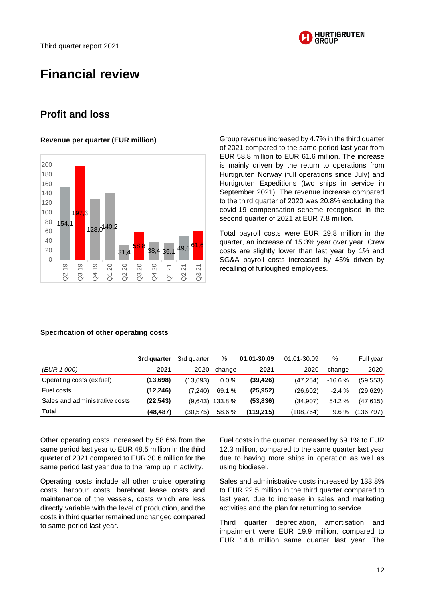

# **Financial review**

### **Profit and loss**



of 2021 compared to the same period last year from EUR 58.8 million to EUR 61.6 million. The increase is mainly driven by the return to operations from Hurtigruten Norway (full operations since July) and Hurtigruten Expeditions (two ships in service in September 2021). The revenue increase compared to the third quarter of 2020 was 20.8% excluding the covid-19 compensation scheme recognised in the second quarter of 2021 at EUR 7.8 million.

Total payroll costs were EUR 29.8 million in the quarter, an increase of 15.3% year over year. Crew costs are slightly lower than last year by 1% and SG&A payroll costs increased by 45% driven by recalling of furloughed employees.

#### **Specification of other operating costs**

|                                | 3rd quarter | 3rd quarter | %       | 01.01-30.09 | 01.01-30.09 | %        | Full year  |
|--------------------------------|-------------|-------------|---------|-------------|-------------|----------|------------|
| (EUR 1 000)                    | 2021        | 2020        | change  | 2021        | 2020        | change   | 2020       |
| Operating costs (exfuel)       | (13,698)    | (13.693)    | $0.0\%$ | (39, 426)   | (47, 254)   | $-16.6%$ | (59, 553)  |
| Fuel costs                     | (12,246)    | (7.240)     | 69.1 %  | (25, 952)   | (26, 602)   | $-2.4%$  | (29,629)   |
| Sales and administrative costs | (22, 543)   | (9,643)     | 133.8%  | (53, 836)   | (34, 907)   | 54.2 %   | (47, 615)  |
| <b>Total</b>                   | (48,487)    | (30,575)    | 58.6%   | (119, 215)  | (108,764)   | 9.6%     | (136, 797) |

Other operating costs increased by 58.6% from the same period last year to EUR 48.5 million in the third quarter of 2021 compared to EUR 30.6 million for the same period last year due to the ramp up in activity.

Operating costs include all other cruise operating costs, harbour costs, bareboat lease costs and maintenance of the vessels, costs which are less directly variable with the level of production, and the costs in third quarter remained unchanged compared to same period last year.

Fuel costs in the quarter increased by 69.1% to EUR 12.3 million, compared to the same quarter last year due to having more ships in operation as well as using biodiesel.

Sales and administrative costs increased by 133.8% to EUR 22.5 million in the third quarter compared to last year, due to increase in sales and marketing activities and the plan for returning to service.

Third quarter depreciation, amortisation and impairment were EUR 19.9 million, compared to EUR 14.8 million same quarter last year. The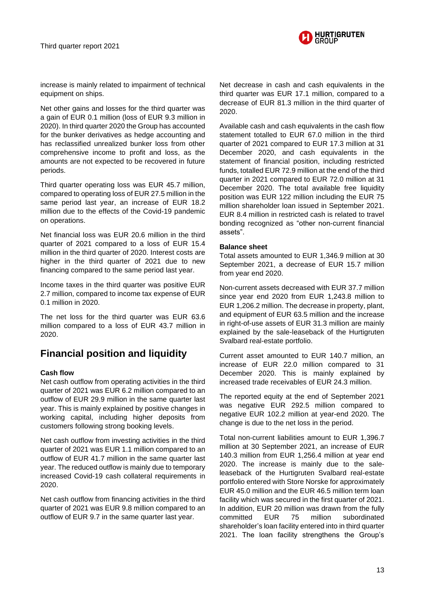

increase is mainly related to impairment of technical equipment on ships.

Net other gains and losses for the third quarter was a gain of EUR 0.1 million (loss of EUR 9.3 million in 2020). In third quarter 2020 the Group has accounted for the bunker derivatives as hedge accounting and has reclassified unrealized bunker loss from other comprehensive income to profit and loss, as the amounts are not expected to be recovered in future periods.

Third quarter operating loss was EUR 45.7 million, compared to operating loss of EUR 27.5 million in the same period last year, an increase of EUR 18.2 million due to the effects of the Covid-19 pandemic on operations.

Net financial loss was EUR 20.6 million in the third quarter of 2021 compared to a loss of EUR 15.4 million in the third quarter of 2020. Interest costs are higher in the third quarter of 2021 due to new financing compared to the same period last year.

Income taxes in the third quarter was positive EUR 2.7 million, compared to income tax expense of EUR 0.1 million in 2020.

The net loss for the third quarter was EUR 63.6 million compared to a loss of EUR 43.7 million in 2020.

#### **Financial position and liquidity**

#### **Cash flow**

Net cash outflow from operating activities in the third quarter of 2021 was EUR 6.2 million compared to an outflow of EUR 29.9 million in the same quarter last year. This is mainly explained by positive changes in working capital, including higher deposits from customers following strong booking levels.

Net cash outflow from investing activities in the third quarter of 2021 was EUR 1.1 million compared to an outflow of EUR 41.7 million in the same quarter last year. The reduced outflow is mainly due to temporary increased Covid-19 cash collateral requirements in 2020.

Net cash outflow from financing activities in the third quarter of 2021 was EUR 9.8 million compared to an outflow of EUR 9.7 in the same quarter last year.

Net decrease in cash and cash equivalents in the third quarter was EUR 17.1 million, compared to a decrease of EUR 81.3 million in the third quarter of 2020.

Available cash and cash equivalents in the cash flow statement totalled to EUR 67.0 million in the third quarter of 2021 compared to EUR 17.3 million at 31 December 2020, and cash equivalents in the statement of financial position, including restricted funds, totalled EUR 72.9 million at the end of the third quarter in 2021 compared to EUR 72.0 million at 31 December 2020. The total available free liquidity position was EUR 122 million including the EUR 75 million shareholder loan issued in September 2021. EUR 8.4 million in restricted cash is related to travel bonding recognized as "other non-current financial assets".

#### **Balance sheet**

Total assets amounted to EUR 1,346.9 million at 30 September 2021, a decrease of EUR 15.7 million from year end 2020.

Non-current assets decreased with EUR 37.7 million since year end 2020 from EUR 1,243.8 million to EUR 1,206.2 million. The decrease in property, plant, and equipment of EUR 63.5 million and the increase in right-of-use assets of EUR 31.3 million are mainly explained by the sale-leaseback of the Hurtigruten Svalbard real-estate portfolio.

Current asset amounted to EUR 140.7 million, an increase of EUR 22.0 million compared to 31 December 2020. This is mainly explained by increased trade receivables of EUR 24.3 million.

The reported equity at the end of September 2021 was negative EUR 292.5 million compared to negative EUR 102.2 million at year-end 2020. The change is due to the net loss in the period.

Total non-current liabilities amount to EUR 1,396.7 million at 30 September 2021, an increase of EUR 140.3 million from EUR 1,256.4 million at year end 2020. The increase is mainly due to the saleleaseback of the Hurtigruten Svalbard real-estate portfolio entered with Store Norske for approximately EUR 45.0 million and the EUR 46.5 million term loan facility which was secured in the first quarter of 2021. In addition, EUR 20 million was drawn from the fully committed EUR 75 million subordinated shareholder's loan facility entered into in third quarter 2021. The loan facility strengthens the Group's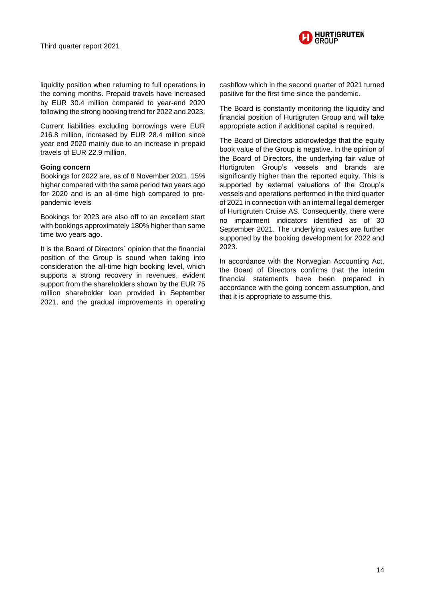

liquidity position when returning to full operations in the coming months. Prepaid travels have increased by EUR 30.4 million compared to year-end 2020 following the strong booking trend for 2022 and 2023.

Current liabilities excluding borrowings were EUR 216.8 million, increased by EUR 28.4 million since year end 2020 mainly due to an increase in prepaid travels of EUR 22.9 million.

#### **Going concern**

Bookings for 2022 are, as of 8 November 2021, 15% higher compared with the same period two years ago for 2020 and is an all-time high compared to prepandemic levels

Bookings for 2023 are also off to an excellent start with bookings approximately 180% higher than same time two years ago.

It is the Board of Directors` opinion that the financial position of the Group is sound when taking into consideration the all-time high booking level, which supports a strong recovery in revenues, evident support from the shareholders shown by the EUR 75 million shareholder loan provided in September 2021, and the gradual improvements in operating

cashflow which in the second quarter of 2021 turned positive for the first time since the pandemic.

The Board is constantly monitoring the liquidity and financial position of Hurtigruten Group and will take appropriate action if additional capital is required.

The Board of Directors acknowledge that the equity book value of the Group is negative. In the opinion of the Board of Directors, the underlying fair value of Hurtigruten Group's vessels and brands are significantly higher than the reported equity. This is supported by external valuations of the Group's vessels and operations performed in the third quarter of 2021 in connection with an internal legal demerger of Hurtigruten Cruise AS. Consequently, there were no impairment indicators identified as of 30 September 2021. The underlying values are further supported by the booking development for 2022 and 2023.

In accordance with the Norwegian Accounting Act, the Board of Directors confirms that the interim financial statements have been prepared in accordance with the going concern assumption, and that it is appropriate to assume this.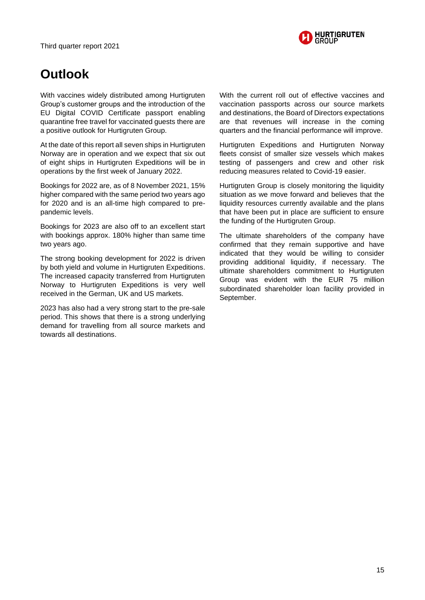



### **Outlook**

With vaccines widely distributed among Hurtigruten Group's customer groups and the introduction of the EU Digital COVID Certificate passport enabling quarantine free travel for vaccinated guests there are a positive outlook for Hurtigruten Group.

At the date of this report all seven ships in Hurtigruten Norway are in operation and we expect that six out of eight ships in Hurtigruten Expeditions will be in operations by the first week of January 2022.

Bookings for 2022 are, as of 8 November 2021, 15% higher compared with the same period two years ago for 2020 and is an all-time high compared to prepandemic levels.

Bookings for 2023 are also off to an excellent start with bookings approx. 180% higher than same time two years ago.

The strong booking development for 2022 is driven by both yield and volume in Hurtigruten Expeditions. The increased capacity transferred from Hurtigruten Norway to Hurtigruten Expeditions is very well received in the German, UK and US markets.

2023 has also had a very strong start to the pre-sale period. This shows that there is a strong underlying demand for travelling from all source markets and towards all destinations.

With the current roll out of effective vaccines and vaccination passports across our source markets and destinations, the Board of Directors expectations are that revenues will increase in the coming quarters and the financial performance will improve.

Hurtigruten Expeditions and Hurtigruten Norway fleets consist of smaller size vessels which makes testing of passengers and crew and other risk reducing measures related to Covid-19 easier.

Hurtigruten Group is closely monitoring the liquidity situation as we move forward and believes that the liquidity resources currently available and the plans that have been put in place are sufficient to ensure the funding of the Hurtigruten Group.

The ultimate shareholders of the company have confirmed that they remain supportive and have indicated that they would be willing to consider providing additional liquidity, if necessary. The ultimate shareholders commitment to Hurtigruten Group was evident with the EUR 75 million subordinated shareholder loan facility provided in September.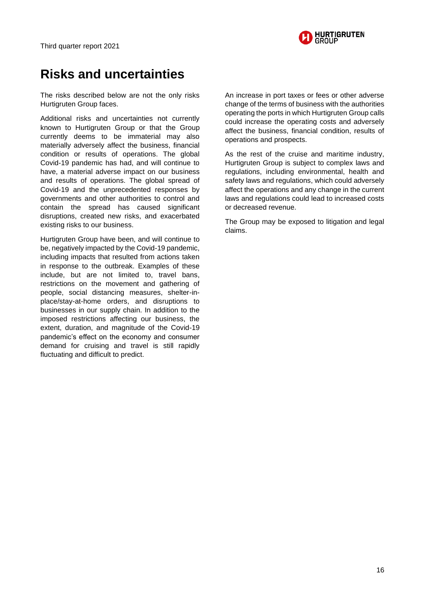

### **Risks and uncertainties**

The risks described below are not the only risks Hurtigruten Group faces.

Additional risks and uncertainties not currently known to Hurtigruten Group or that the Group currently deems to be immaterial may also materially adversely affect the business, financial condition or results of operations. The global Covid-19 pandemic has had, and will continue to have, a material adverse impact on our business and results of operations. The global spread of Covid-19 and the unprecedented responses by governments and other authorities to control and contain the spread has caused significant disruptions, created new risks, and exacerbated existing risks to our business.

Hurtigruten Group have been, and will continue to be, negatively impacted by the Covid-19 pandemic, including impacts that resulted from actions taken in response to the outbreak. Examples of these include, but are not limited to, travel bans, restrictions on the movement and gathering of people, social distancing measures, shelter-inplace/stay-at-home orders, and disruptions to businesses in our supply chain. In addition to the imposed restrictions affecting our business, the extent, duration, and magnitude of the Covid-19 pandemic's effect on the economy and consumer demand for cruising and travel is still rapidly fluctuating and difficult to predict.

An increase in port taxes or fees or other adverse change of the terms of business with the authorities operating the ports in which Hurtigruten Group calls could increase the operating costs and adversely affect the business, financial condition, results of operations and prospects.

As the rest of the cruise and maritime industry, Hurtigruten Group is subject to complex laws and regulations, including environmental, health and safety laws and regulations, which could adversely affect the operations and any change in the current laws and regulations could lead to increased costs or decreased revenue.

The Group may be exposed to litigation and legal claims.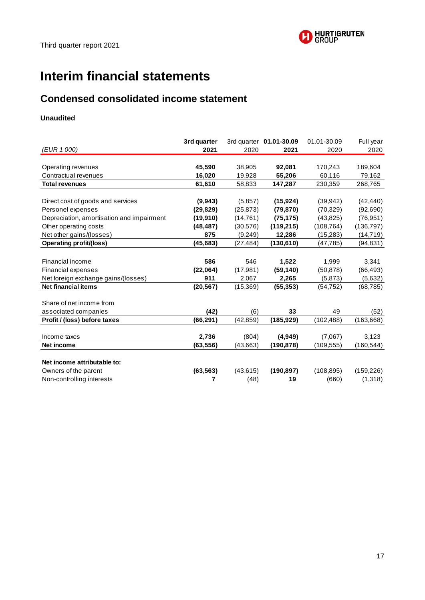

### **Interim financial statements**

### **Condensed consolidated income statement**

|                                           | 3rd quarter |           | 3rd quarter 01.01-30.09 | 01.01-30.09 | Full year  |
|-------------------------------------------|-------------|-----------|-------------------------|-------------|------------|
| (EUR 1 000)                               | 2021        | 2020      | 2021                    | 2020        | 2020       |
|                                           |             |           |                         |             |            |
| Operating revenues                        | 45.590      | 38,905    | 92,081                  | 170,243     | 189,604    |
| Contractual revenues                      | 16,020      | 19,928    | 55,206                  | 60,116      | 79,162     |
| <b>Total revenues</b>                     | 61,610      | 58,833    | 147,287                 | 230,359     | 268,765    |
|                                           |             |           |                         |             |            |
| Direct cost of goods and services         | (9,943)     | (5,857)   | (15, 924)               | (39, 942)   | (42, 440)  |
| Personel expenses                         | (29, 829)   | (25, 873) | (79, 870)               | (70, 329)   | (92, 690)  |
| Depreciation, amortisation and impairment | (19,910)    | (14, 761) | (75, 175)               | (43, 825)   | (76, 951)  |
| Other operating costs                     | (48, 487)   | (30,576)  | (119, 215)              | (108, 764)  | (136, 797) |
| Net other gains/(losses)                  | 875         | (9,249)   | 12,286                  | (15,283)    | (14, 719)  |
| <b>Operating profit/(loss)</b>            | (45, 683)   | (27, 484) | (130, 610)              | (47, 785)   | (94, 831)  |
|                                           |             |           |                         |             |            |
| Financial income                          | 586         | 546       | 1.522                   | 1.999       | 3.341      |
| <b>Financial expenses</b>                 | (22,064)    | (17, 981) | (59, 140)               | (50, 878)   | (66, 493)  |
| Net foreign exchange gains/(losses)       | 911         | 2,067     | 2,265                   | (5,873)     | (5,632)    |
| <b>Net financial items</b>                | (20, 567)   | (15, 369) | (55, 353)               | (54, 752)   | (68, 785)  |
|                                           |             |           |                         |             |            |
| Share of net income from                  |             |           |                         |             |            |
| associated companies                      | (42)        | (6)       | 33                      | 49          | (52)       |
| Profit / (loss) before taxes              | (66, 291)   | (42, 859) | (185,929)               | (102,488)   | (163, 668) |
|                                           |             |           |                         |             |            |
| Income taxes                              | 2,736       | (804)     | (4,949)                 | (7.067)     | 3,123      |
| Net income                                | (63, 556)   | (43,663)  | (190, 878)              | (109, 555)  | (160, 544) |
|                                           |             |           |                         |             |            |
| Net income attributable to:               |             |           |                         |             |            |
| Owners of the parent                      | (63, 563)   | (43, 615) | (190, 897)              | (108, 895)  | (159, 226) |
| Non-controlling interests                 | 7           | (48)      | 19                      | (660)       | (1,318)    |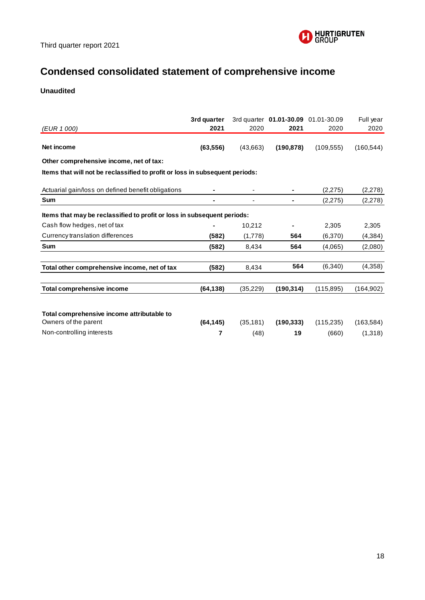

### **Condensed consolidated statement of comprehensive income**

| (EUR 1 000)                                                                  | 3rd quarter<br>2021 | 2020      | 3rd quarter 01.01-30.09 01.01-30.09<br>2021 | 2020       | Full year<br>2020 |
|------------------------------------------------------------------------------|---------------------|-----------|---------------------------------------------|------------|-------------------|
| Net income                                                                   | (63, 556)           | (43,663)  | (190, 878)                                  | (109, 555) | (160, 544)        |
| Other comprehensive income, net of tax:                                      |                     |           |                                             |            |                   |
| Items that will not be reclassified to profit or loss in subsequent periods: |                     |           |                                             |            |                   |
| Actuarial gain/loss on defined benefit obligations                           |                     |           |                                             | (2,275)    | (2,278)           |
| <b>Sum</b>                                                                   |                     | -         |                                             | (2,275)    | (2, 278)          |
| Items that may be reclassified to profit or loss in subsequent periods:      |                     |           |                                             |            |                   |
| Cash flow hedges, net of tax                                                 |                     | 10,212    |                                             | 2,305      | 2,305             |
| Currency translation differences                                             | (582)               | (1,778)   | 564                                         | (6,370)    | (4, 384)          |
| <b>Sum</b>                                                                   | (582)               | 8,434     | 564                                         | (4,065)    | (2,080)           |
| Total other comprehensive income, net of tax                                 | (582)               | 8.434     | 564                                         | (6, 340)   | (4,358)           |
| <b>Total comprehensive income</b>                                            | (64, 138)           | (35, 229) | (190, 314)                                  | (115, 895) | (164, 902)        |
| Total comprehensive income attributable to                                   |                     |           |                                             |            |                   |
| Owners of the parent                                                         | (64, 145)           | (35, 181) | (190, 333)                                  | (115, 235) | (163, 584)        |
| Non-controlling interests                                                    | 7                   | (48)      | 19                                          | (660)      | (1,318)           |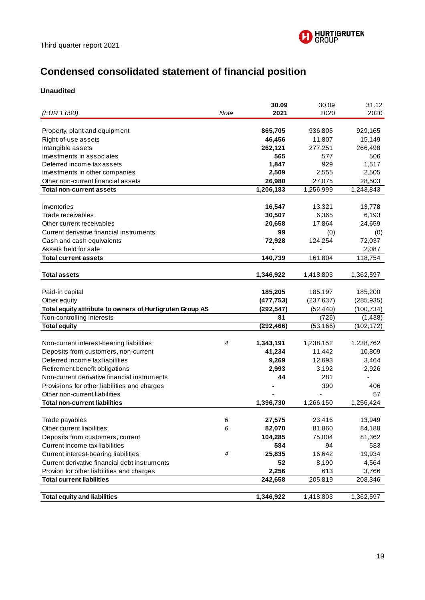

### **Condensed consolidated statement of financial position**

|                                                          |      | 30.09      | 30.09      | 31.12      |
|----------------------------------------------------------|------|------------|------------|------------|
| (EUR 1 000)                                              | Note | 2021       | 2020       | 2020       |
|                                                          |      |            |            |            |
| Property, plant and equipment                            |      | 865,705    | 936,805    | 929,165    |
| Right-of-use assets                                      |      | 46,456     | 11,807     | 15,149     |
| Intangible assets                                        |      | 262,121    | 277,251    | 266,498    |
| Investments in associates                                |      | 565        | 577        | 506        |
| Deferred income tax assets                               |      | 1,847      | 929        | 1,517      |
| Investments in other companies                           |      | 2,509      | 2,555      | 2,505      |
| Other non-current financial assets                       |      | 26,980     | 27,075     | 28,503     |
| <b>Total non-current assets</b>                          |      | 1,206,183  | 1,256,999  | 1,243,843  |
|                                                          |      |            |            |            |
| Inventories                                              |      | 16,547     | 13,321     | 13,778     |
| Trade receivables                                        |      | 30,507     | 6,365      | 6,193      |
| Other current receivables                                |      | 20,658     | 17,864     | 24,659     |
| Current derivative financial instruments                 |      | 99         | (0)        | (0)        |
| Cash and cash equivalents                                |      | 72,928     | 124,254    | 72,037     |
| Assets held for sale                                     |      |            |            | 2,087      |
| <b>Total current assets</b>                              |      | 140,739    | 161,804    | 118,754    |
|                                                          |      |            |            |            |
| <b>Total assets</b>                                      |      | 1,346,922  | 1,418,803  | 1,362,597  |
|                                                          |      |            |            |            |
| Paid-in capital                                          |      | 185,205    | 185,197    | 185,200    |
| Other equity                                             |      | (477, 753) | (237, 637) | (285, 935) |
| Total equity attribute to owners of Hurtigruten Group AS |      | (292, 547) | (52, 440)  | (100, 734) |
| Non-controlling interests                                |      | 81         | (726)      | (1, 438)   |
| <b>Total equity</b>                                      |      | (292, 466) | (53, 166)  | (102, 172) |
|                                                          |      |            |            |            |
| Non-current interest-bearing liabilities                 | 4    | 1,343,191  | 1,238,152  | 1,238,762  |
| Deposits from customers, non-current                     |      | 41,234     | 11,442     | 10,809     |
| Deferred income tax liabilities                          |      | 9,269      | 12,693     | 3,464      |
| Retirement benefit obligations                           |      | 2,993      | 3,192      | 2,926      |
| Non-current derivative financial instruments             |      | 44         | 281        |            |
| Provisions for other liabilities and charges             |      |            | 390        | 406        |
| Other non-current liabilities                            |      |            |            | 57         |
| <b>Total non-current liabilities</b>                     |      | 1,396,730  | 1,266,150  | 1,256,424  |
| Trade payables                                           | 6    | 27,575     | 23,416     | 13,949     |
| Other current liabilities                                | 6    | 82,070     | 81,860     | 84,188     |
| Deposits from customers, current                         |      | 104,285    | 75,004     | 81,362     |
|                                                          |      | 584        | 94         |            |
| Current income tax liabilities                           |      |            |            | 583        |
| Current interest-bearing liabilities                     | 4    | 25,835     | 16,642     | 19,934     |
| Current derivative financial debt instruments            |      | 52         | 8,190      | 4,564      |
| Provion for other liabilities and charges                |      | 2,256      | 613        | 3,766      |
| <b>Total current liabilities</b>                         |      | 242,658    | 205,819    | 208,346    |
|                                                          |      |            |            |            |
| <b>Total equity and liabilities</b>                      |      | 1,346,922  | 1,418,803  | 1,362,597  |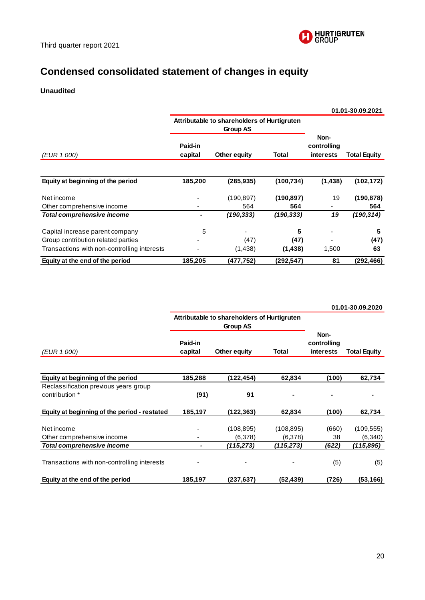

### **Condensed consolidated statement of changes in equity**

|                    |              |            |                                             | 01.01-30.09.2021    |
|--------------------|--------------|------------|---------------------------------------------|---------------------|
|                    | Group AS     |            |                                             |                     |
| Paid-in<br>capital | Other equity | Total      | Non-<br>controlling<br>interests            | <b>Total Equity</b> |
|                    |              |            |                                             |                     |
| 185,200            | (285,935)    | (100, 734) | (1, 438)                                    | (102, 172)          |
|                    | (190, 897)   | (190, 897) | 19                                          | (190, 878)          |
|                    | 564          | 564        |                                             | 564                 |
| -                  | (190,333)    | (190, 333) | 19                                          | (190, 314)          |
| 5                  |              | 5          |                                             | 5                   |
|                    | (47)         | (47)       |                                             | (47)                |
|                    | (1,438)      | (1,438)    | 1,500                                       | 63                  |
| 185,205            | (477,752)    | (292,547)  | 81                                          | (292,466)           |
|                    |              |            | Attributable to shareholders of Hurtigruten |                     |

|                                              |                                                         |              |            |                                         | 01.01-30.09.2020    |
|----------------------------------------------|---------------------------------------------------------|--------------|------------|-----------------------------------------|---------------------|
|                                              | Attributable to shareholders of Hurtigruten<br>Group AS |              |            |                                         |                     |
| (EUR 1 000)                                  | Paid-in<br>capital                                      | Other equity | Total      | Non-<br>controlling<br><b>interests</b> | <b>Total Equity</b> |
|                                              |                                                         |              |            |                                         |                     |
| Equity at beginning of the period            | 185,288                                                 | (122,454)    | 62,834     | (100)                                   | 62,734              |
| Reclassification previous years group        |                                                         |              |            |                                         |                     |
| contribution *                               | (91)                                                    | 91           |            |                                         |                     |
| Equity at beginning of the period - restated | 185,197                                                 | (122,363)    | 62,834     | (100)                                   | 62,734              |
| Net income                                   |                                                         | (108, 895)   | (108, 895) | (660)                                   | (109, 555)          |
| Other comprehensive income                   |                                                         | (6,378)      | (6,378)    | 38                                      | (6,340)             |
| <b>Total comprehensive income</b>            | $\blacksquare$                                          | (115,273)    | (115, 273) | (622)                                   | (115, 895)          |
| Transactions with non-controlling interests  |                                                         |              |            | (5)                                     | (5)                 |
| Equity at the end of the period              | 185,197                                                 | (237,637)    | (52, 439)  | (726)                                   | (53,166)            |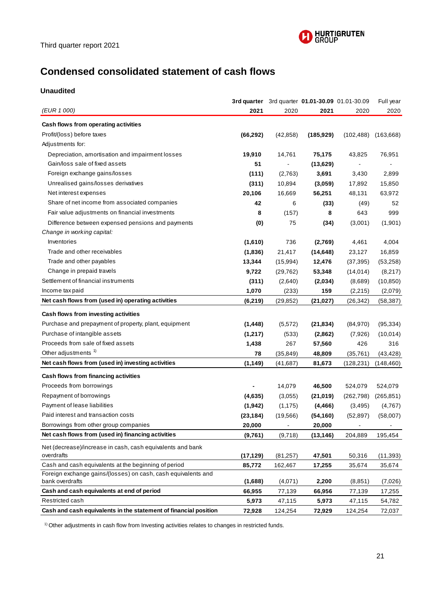

### **Condensed consolidated statement of cash flows**

#### **Unaudited**

|                                                                  |           |                          | 3rd quarter 3rd quarter 01.01-30.09 01.01-30.09 |            | Full year  |
|------------------------------------------------------------------|-----------|--------------------------|-------------------------------------------------|------------|------------|
| (EUR 1 000)                                                      | 2021      | 2020                     | 2021                                            | 2020       | 2020       |
| Cash flows from operating activities                             |           |                          |                                                 |            |            |
| Profit/(loss) before taxes                                       | (66, 292) | (42, 858)                | (185, 929)                                      | (102, 488) | (163, 668) |
| Adjustments for:                                                 |           |                          |                                                 |            |            |
| Depreciation, amortisation and impairment losses                 | 19,910    | 14,761                   | 75,175                                          | 43,825     | 76,951     |
| Gain/loss sale of fixed assets                                   | 51        | $\overline{\phantom{a}}$ | (13,629)                                        |            |            |
| Foreign exchange gains/losses                                    | (111)     | (2,763)                  | 3,691                                           | 3,430      | 2,899      |
| Unrealised gains/losses derivatives                              | (311)     | 10,894                   | (3,059)                                         | 17,892     | 15,850     |
| Net interest expenses                                            | 20,106    | 16,669                   | 56,251                                          | 48,131     | 63,972     |
| Share of net income from associated companies                    | 42        | 6                        | (33)                                            | (49)       | 52         |
| Fair value adjustments on financial investments                  | 8         | (157)                    | 8                                               | 643        | 999        |
| Difference between expensed pensions and payments                | (0)       | 75                       | (34)                                            | (3,001)    | (1,901)    |
| Change in working capital:                                       |           |                          |                                                 |            |            |
| Inventories                                                      | (1,610)   | 736                      | (2,769)                                         | 4,461      | 4,004      |
| Trade and other receivables                                      | (1,836)   | 21,417                   | (14, 648)                                       | 23,127     | 16,859     |
| Trade and other payables                                         | 13,344    | (15,994)                 | 12,476                                          | (37, 395)  | (53, 258)  |
| Change in prepaid travels                                        | 9,722     | (29, 762)                | 53,348                                          | (14, 014)  | (8,217)    |
| Settlement of financial instruments                              | (311)     | (2,640)                  | (2,034)                                         | (8,689)    | (10, 850)  |
| Income tax paid                                                  | 1,070     | (233)                    | 159                                             | (2,215)    | (2,079)    |
| Net cash flows from (used in) operating activities               | (6, 219)  | (29, 852)                | (21, 027)                                       | (26, 342)  | (58, 387)  |
| Cash flows from investing activities                             |           |                          |                                                 |            |            |
| Purchase and prepayment of property, plant, equipment            | (1, 448)  | (5, 572)                 | (21, 834)                                       | (84, 970)  | (95, 334)  |
| Purchase of intangible assets                                    | (1, 217)  | (533)                    | (2,862)                                         | (7,926)    | (10, 014)  |
| Proceeds from sale of fixed assets                               | 1,438     | 267                      | 57,560                                          | 426        | 316        |
| Other adjustments <sup>1)</sup>                                  | 78        | (35, 849)                | 48,809                                          | (35, 761)  | (43, 428)  |
| Net cash flows from (used in) investing activities               | (1, 149)  | (41, 687)                | 81,673                                          | (128,231)  | (148, 460) |
| Cash flows from financing activities                             |           |                          |                                                 |            |            |
| Proceeds from borrowings                                         |           | 14,079                   | 46,500                                          | 524,079    | 524,079    |
| Repayment of borrowings                                          | (4,635)   | (3,055)                  | (21, 019)                                       | (262, 798) | (265, 851) |
| Payment of lease liabilities                                     | (1, 942)  | (1, 175)                 | (4, 466)                                        | (3, 495)   | (4,767)    |
| Paid interest and transaction costs                              | (23, 184) | (19, 566)                | (54, 160)                                       | (52, 897)  | (58,007)   |
| Borrowings from other group companies                            | 20,000    | $\blacksquare$           | 20,000                                          |            |            |
| Net cash flows from (used in) financing activities               | (9,761)   | (9,718)                  | (13, 146)                                       | 204,889    | 195,454    |
| Net (decrease)/increase in cash, cash equivalents and bank       |           |                          |                                                 |            |            |
| overdrafts                                                       | (17, 129) | (81, 257)                | 47,501                                          | 50,316     | (11, 393)  |
| Cash and cash equivalents at the beginning of period             | 85,772    | 162,467                  | 17,255                                          | 35,674     | 35,674     |
| Foreign exchange gains/(losses) on cash, cash equivalents and    |           |                          |                                                 |            |            |
| bank overdrafts                                                  | (1,688)   | (4,071)                  | 2,200                                           | (8, 851)   | (7,026)    |
| Cash and cash equivalents at end of period                       | 66,955    | 77,139                   | 66,956                                          | 77,139     | 17,255     |
| Restricted cash                                                  | 5,973     | 47,115                   | 5,973                                           | 47,115     | 54,782     |
| Cash and cash equivalents in the statement of financial position | 72,928    | 124,254                  | 72,929                                          | 124,254    | 72,037     |

<sup>1)</sup> Other adjustments in cash flow from Investing activities relates to changes in restricted funds.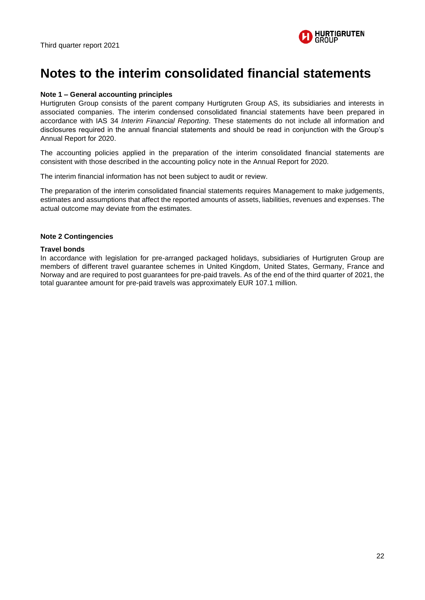

### **Notes to the interim consolidated financial statements**

#### **Note 1 – General accounting principles**

Hurtigruten Group consists of the parent company Hurtigruten Group AS, its subsidiaries and interests in associated companies. The interim condensed consolidated financial statements have been prepared in accordance with IAS 34 *Interim Financial Reporting*. These statements do not include all information and disclosures required in the annual financial statements and should be read in conjunction with the Group's Annual Report for 2020.

The accounting policies applied in the preparation of the interim consolidated financial statements are consistent with those described in the accounting policy note in the Annual Report for 2020.

The interim financial information has not been subject to audit or review.

The preparation of the interim consolidated financial statements requires Management to make judgements, estimates and assumptions that affect the reported amounts of assets, liabilities, revenues and expenses. The actual outcome may deviate from the estimates.

#### **Note 2 Contingencies**

#### **Travel bonds**

In accordance with legislation for pre-arranged packaged holidays, subsidiaries of Hurtigruten Group are members of different travel guarantee schemes in United Kingdom, United States, Germany, France and Norway and are required to post guarantees for pre-paid travels. As of the end of the third quarter of 2021, the total guarantee amount for pre-paid travels was approximately EUR 107.1 million.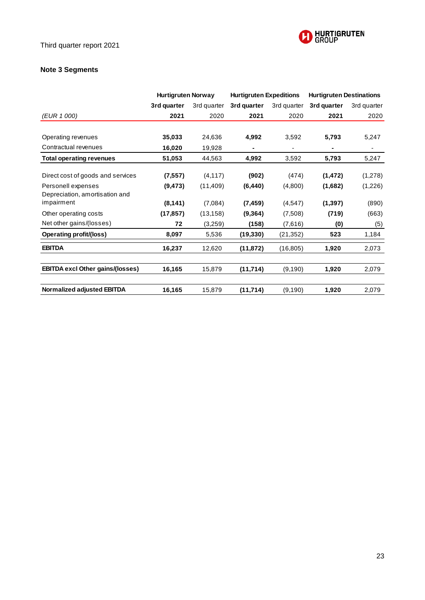

#### **Note 3 Segments**

|                                                      | <b>Hurtigruten Norway</b> |             | <b>Hurtigruten Expeditions</b> |             | <b>Hurtigruten Destinations</b> |             |
|------------------------------------------------------|---------------------------|-------------|--------------------------------|-------------|---------------------------------|-------------|
|                                                      | 3rd quarter               | 3rd quarter | 3rd quarter                    | 3rd quarter | 3rd quarter                     | 3rd quarter |
| (EUR 1 000)                                          | 2021                      | 2020        | 2021                           | 2020        | 2021                            | 2020        |
|                                                      |                           |             |                                |             |                                 |             |
| Operating revenues                                   | 35,033                    | 24,636      | 4,992                          | 3,592       | 5,793                           | 5,247       |
| Contractual revenues                                 | 16,020                    | 19,928      |                                |             |                                 | ٠           |
| <b>Total operating revenues</b>                      | 51,053                    | 44.563      | 4,992                          | 3,592       | 5,793                           | 5,247       |
| Direct cost of goods and services                    | (7, 557)                  | (4, 117)    | (902)                          | (474)       | (1, 472)                        | (1,278)     |
| Personell expenses<br>Depreciation, amortisation and | (9, 473)                  | (11, 409)   | (6, 440)                       | (4,800)     | (1,682)                         | (1,226)     |
| impairment                                           | (8, 141)                  | (7,084)     | (7, 459)                       | (4, 547)    | (1, 397)                        | (890)       |
| Other operating costs                                | (17, 857)                 | (13, 158)   | (9,364)                        | (7,508)     | (719)                           | (663)       |
| Net other gains/(losses)                             | 72                        | (3,259)     | (158)                          | (7,616)     | (0)                             | (5)         |
| <b>Operating profit/(loss)</b>                       | 8,097                     | 5,536       | (19, 330)                      | (21,352)    | 523                             | 1,184       |
| <b>EBITDA</b>                                        | 16,237                    | 12,620      | (11, 872)                      | (16, 805)   | 1,920                           | 2,073       |
|                                                      |                           |             |                                |             |                                 |             |
| <b>EBITDA excl Other gains/(losses)</b>              | 16,165                    | 15,879      | (11, 714)                      | (9,190)     | 1,920                           | 2,079       |
|                                                      |                           |             |                                |             |                                 |             |
| <b>Normalized adjusted EBITDA</b>                    | 16,165                    | 15,879      | (11, 714)                      | (9, 190)    | 1,920                           | 2,079       |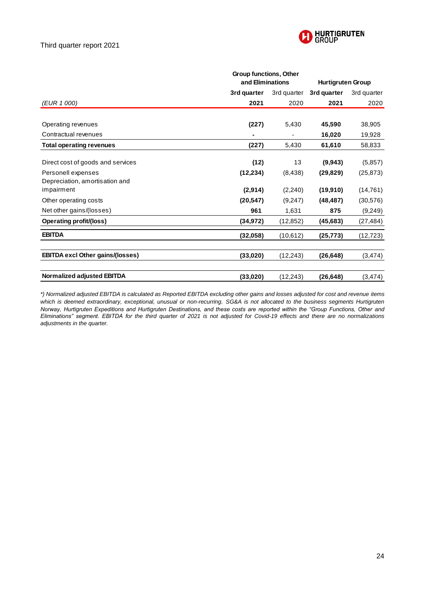

|                                         | Group functions, Other |             |                          |             |
|-----------------------------------------|------------------------|-------------|--------------------------|-------------|
|                                         | and Eliminations       |             | <b>Hurtigruten Group</b> |             |
|                                         | 3rd quarter            | 3rd quarter | 3rd quarter              | 3rd quarter |
| (EUR 1 000)                             | 2021                   | 2020        | 2021                     | 2020        |
|                                         |                        |             |                          |             |
| Operating revenues                      | (227)                  | 5,430       | 45,590                   | 38,905      |
| Contractual revenues                    |                        |             | 16,020                   | 19,928      |
| <b>Total operating revenues</b>         | (227)                  | 5,430       | 61,610                   | 58,833      |
|                                         |                        |             |                          |             |
| Direct cost of goods and services       | (12)                   | 13          | (9, 943)                 | (5,857)     |
| Personell expenses                      | (12, 234)              | (8, 438)    | (29, 829)                | (25, 873)   |
| Depreciation, amortisation and          |                        |             |                          |             |
| impairment                              | (2,914)                | (2,240)     | (19,910)                 | (14, 761)   |
| Other operating costs                   | (20, 547)              | (9,247)     | (48, 487)                | (30, 576)   |
| Net other gains/(losses)                | 961                    | 1,631       | 875                      | (9, 249)    |
| <b>Operating profit/(loss)</b>          | (34,972)               | (12, 852)   | (45, 683)                | (27, 484)   |
| <b>EBITDA</b>                           | (32,058)               | (10,612)    | (25, 773)                | (12, 723)   |
|                                         |                        |             |                          |             |
| <b>EBITDA excl Other gains/(losses)</b> | (33,020)               | (12, 243)   | (26, 648)                | (3, 474)    |
| Normalized adjusted EBITDA              | (33,020)               | (12, 243)   | (26,648)                 | (3, 474)    |
|                                         |                        |             |                          |             |

*\*) Normalized adjusted EBITDA is calculated as Reported EBITDA excluding other gains and losses adjusted for cost and revenue items which is deemed extraordinary, exceptional, unusual or non-recurring. SG&A is not allocated to the business segments Hurtigruten Norway, Hurtigruten Expeditions and Hurtigruten Destinations, and these costs are reported within the "Group Functions, Other and Eliminations" segment. EBITDA for the third quarter of 2021 is not adjusted for Covid-19 effects and there are no normalizations adjustments in the quarter.*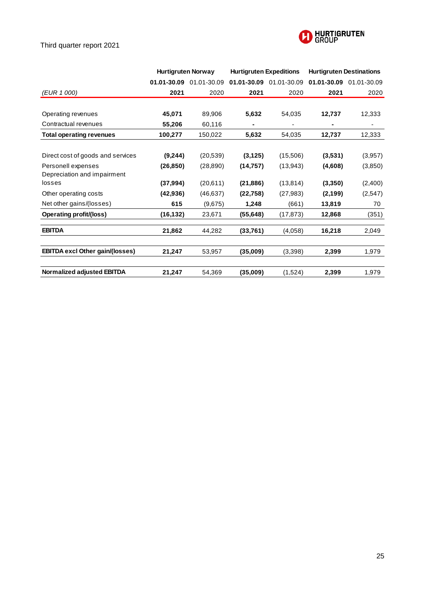

|                                        | <b>Hurtigruten Norway</b> |             | <b>Hurtigruten Expeditions</b> |             | <b>Hurtigruten Destinations</b> |             |
|----------------------------------------|---------------------------|-------------|--------------------------------|-------------|---------------------------------|-------------|
|                                        | 01.01-30.09               | 01.01-30.09 | 01.01-30.09                    | 01.01-30.09 | 01.01-30.09                     | 01.01-30.09 |
| (EUR 1 000)                            | 2021                      | 2020        | 2021                           | 2020        | 2021                            | 2020        |
|                                        |                           |             |                                |             |                                 |             |
| Operating revenues                     | 45,071                    | 89,906      | 5,632                          | 54,035      | 12,737                          | 12,333      |
| Contractual revenues                   | 55,206                    | 60,116      | ۰                              |             | ۰                               | ۰           |
| <b>Total operating revenues</b>        | 100,277                   | 150,022     | 5,632                          | 54,035      | 12,737                          | 12,333      |
|                                        |                           |             |                                |             |                                 |             |
| Direct cost of goods and services      | (9,244)                   | (20, 539)   | (3, 125)                       | (15,506)    | (3,531)                         | (3,957)     |
| Personell expenses                     | (26, 850)                 | (28, 890)   | (14, 757)                      | (13, 943)   | (4,608)                         | (3,850)     |
| Depreciation and impairment            |                           |             |                                |             |                                 |             |
| losses                                 | (37, 994)                 | (20, 611)   | (21, 886)                      | (13, 814)   | (3,350)                         | (2,400)     |
| Other operating costs                  | (42, 936)                 | (46, 637)   | (22, 758)                      | (27, 983)   | (2, 199)                        | (2,547)     |
| Net other gains/(losses)               | 615                       | (9,675)     | 1,248                          | (661)       | 13,819                          | 70          |
| <b>Operating profit/(loss)</b>         | (16, 132)                 | 23,671      | (55, 648)                      | (17, 873)   | 12,868                          | (351)       |
| <b>EBITDA</b>                          | 21,862                    | 44,282      | (33, 761)                      | (4,058)     | 16,218                          | 2,049       |
|                                        |                           |             |                                |             |                                 |             |
| <b>EBITDA excl Other gain/(losses)</b> | 21,247                    | 53,957      | (35,009)                       | (3,398)     | 2,399                           | 1,979       |
|                                        |                           |             |                                |             |                                 |             |
| Normalized adjusted EBITDA             | 21,247                    | 54,369      | (35,009)                       | (1,524)     | 2,399                           | 1,979       |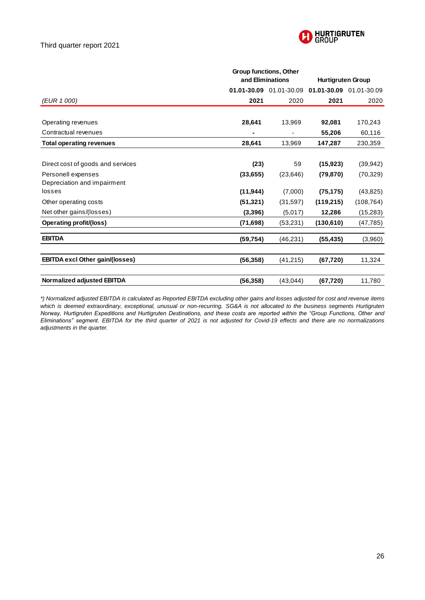

|                                        | Group functions, Other |                          |             |             |
|----------------------------------------|------------------------|--------------------------|-------------|-------------|
|                                        | and Eliminations       | <b>Hurtigruten Group</b> |             |             |
|                                        |                        | 01.01-30.09 01.01-30.09  | 01.01-30.09 | 01.01-30.09 |
| (EUR 1 000)                            | 2021                   | 2020                     | 2021        | 2020        |
|                                        |                        |                          |             |             |
| Operating revenues                     | 28,641                 | 13,969                   | 92,081      | 170,243     |
| Contractual revenues                   |                        |                          | 55,206      | 60,116      |
| <b>Total operating revenues</b>        | 28,641                 | 13,969                   | 147,287     | 230,359     |
|                                        |                        |                          |             |             |
| Direct cost of goods and services      | (23)                   | 59                       | (15, 923)   | (39, 942)   |
| Personell expenses                     | (33, 655)              | (23, 646)                | (79, 870)   | (70, 329)   |
| Depreciation and impairment            |                        |                          |             |             |
| losses                                 | (11, 944)              | (7,000)                  | (75, 175)   | (43, 825)   |
| Other operating costs                  | (51, 321)              | (31, 597)                | (119, 215)  | (108, 764)  |
| Net other gains/(losses)               | (3,396)                | (5,017)                  | 12,286      | (15, 283)   |
| <b>Operating profit/(loss)</b>         | (71, 698)              | (53, 231)                | (130, 610)  | (47, 785)   |
| <b>EBITDA</b>                          | (59, 754)              | (46, 231)                | (55, 435)   | (3,960)     |
|                                        |                        |                          |             |             |
| <b>EBITDA excl Other gain/(losses)</b> | (56, 358)              | (41,215)                 | (67, 720)   | 11,324      |
|                                        |                        |                          |             |             |
| Normalized adjusted EBITDA             | (56, 358)              | (43, 044)                | (67, 720)   | 11,780      |

*\*) Normalized adjusted EBITDA is calculated as Reported EBITDA excluding other gains and losses adjusted for cost and revenue items which is deemed extraordinary, exceptional, unusual or non-recurring. SG&A is not allocated to the business segments Hurtigruten Norway, Hurtigruten Expeditions and Hurtigruten Destinations, and these costs are reported within the "Group Functions, Other and Eliminations" segment. EBITDA for the third quarter of 2021 is not adjusted for Covid-19 effects and there are no normalizations adjustments in the quarter.*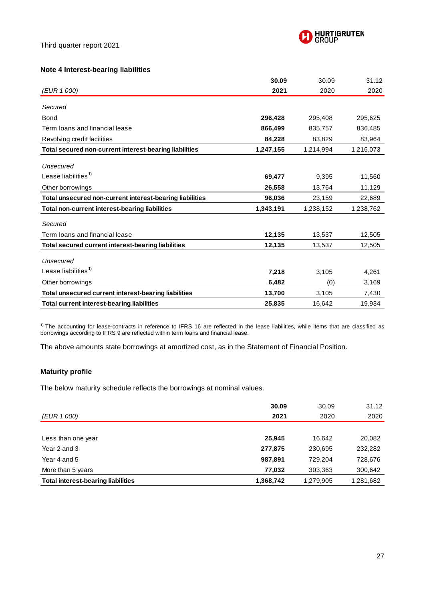

#### **Note 4 Interest-bearing liabilities**

|                                                          | 30.09     | 30.09     | 31.12     |
|----------------------------------------------------------|-----------|-----------|-----------|
| (EUR 1 000)                                              | 2021      | 2020      | 2020      |
| Secured                                                  |           |           |           |
| Bond                                                     | 296,428   | 295,408   | 295,625   |
| Term loans and financial lease                           | 866,499   | 835,757   | 836,485   |
| Revolving credit facilities                              | 84,228    | 83,829    | 83,964    |
| Total secured non-current interest-bearing liabilities   | 1,247,155 | 1,214,994 | 1,216,073 |
| Unsecured                                                |           |           |           |
| Lease liabilities <sup>1)</sup>                          | 69,477    | 9,395     | 11,560    |
| Other borrowings                                         | 26,558    | 13,764    | 11,129    |
| Total unsecured non-current interest-bearing liabilities | 96,036    | 23,159    | 22,689    |
| <b>Total non-current interest-bearing liabilities</b>    | 1,343,191 | 1,238,152 | 1,238,762 |
| Secured                                                  |           |           |           |
| Term loans and financial lease                           | 12,135    | 13,537    | 12,505    |
| Total secured current interest-bearing liabilities       | 12,135    | 13,537    | 12,505    |
| <b>Unsecured</b>                                         |           |           |           |
| Lease liabilities <sup>1)</sup>                          | 7,218     | 3,105     | 4,261     |
| Other borrowings                                         | 6,482     | (0)       | 3,169     |
| Total unsecured current interest-bearing liabilities     | 13,700    | 3,105     | 7,430     |
| <b>Total current interest-bearing liabilities</b>        | 25,835    | 16,642    | 19,934    |

 $1$ <sup>1</sup> The accounting for lease-contracts in reference to IFRS 16 are reflected in the lease liabilities, while items that are classified as borrowings according to IFRS 9 are reflected within term loans and financial lease.

The above amounts state borrowings at amortized cost, as in the Statement of Financial Position.

#### **Maturity profile**

The below maturity schedule reflects the borrowings at nominal values.

|                                           | 30.09     | 30.09     | 31.12     |
|-------------------------------------------|-----------|-----------|-----------|
| (EUR 1 000)                               | 2021      | 2020      | 2020      |
|                                           |           |           |           |
| Less than one year                        | 25.945    | 16.642    | 20,082    |
| Year 2 and 3                              | 277,875   | 230,695   | 232,282   |
| Year 4 and 5                              | 987,891   | 729.204   | 728,676   |
| More than 5 years                         | 77,032    | 303,363   | 300,642   |
| <b>Total interest-bearing liabilities</b> | 1,368,742 | 1,279,905 | 1,281,682 |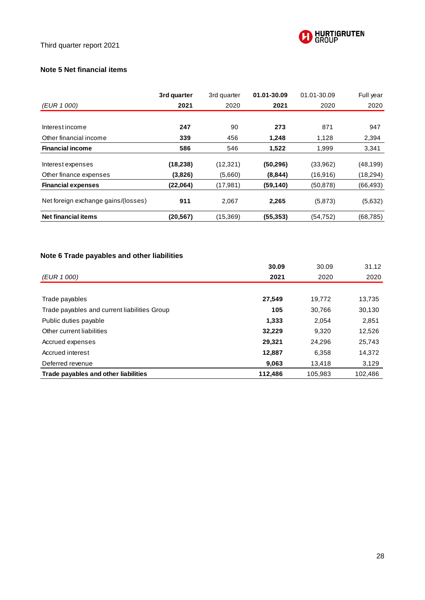

#### **Note 5 Net financial items**

|                                     | 3rd quarter | 3rd quarter | 01.01-30.09 | 01.01-30.09 | Full year |
|-------------------------------------|-------------|-------------|-------------|-------------|-----------|
| (EUR 1 000)                         | 2021        | 2020        | 2021        | 2020        | 2020      |
|                                     |             |             |             |             |           |
| Interest income                     | 247         | 90          | 273         | 871         | 947       |
| Other financial income              | 339         | 456         | 1,248       | 1,128       | 2,394     |
| <b>Financial income</b>             | 586         | 546         | 1,522       | 1,999       | 3,341     |
| Interest expenses                   | (18, 238)   | (12, 321)   | (50, 296)   | (33,962)    | (48, 199) |
| Other finance expenses              | (3,826)     | (5,660)     | (8, 844)    | (16, 916)   | (18,294)  |
| <b>Financial expenses</b>           | (22,064)    | (17,981)    | (59, 140)   | (50, 878)   | (66, 493) |
| Net foreign exchange gains/(losses) | 911         | 2,067       | 2,265       | (5,873)     | (5,632)   |
| Net financial items                 | (20, 567)   | (15, 369)   | (55, 353)   | (54, 752)   | (68, 785) |

#### **Note 6 Trade payables and other liabilities**

|                                              | 30.09   | 30.09   | 31.12   |
|----------------------------------------------|---------|---------|---------|
| (EUR 1 000)                                  | 2021    | 2020    | 2020    |
|                                              |         |         |         |
| Trade payables                               | 27,549  | 19,772  | 13,735  |
| Trade payables and current liabilities Group | 105     | 30.766  | 30,130  |
| Public duties payable                        | 1,333   | 2,054   | 2,851   |
| Other current liabilities                    | 32,229  | 9,320   | 12,526  |
| Accrued expenses                             | 29,321  | 24,296  | 25,743  |
| Accrued interest                             | 12,887  | 6,358   | 14,372  |
| Deferred revenue                             | 9,063   | 13.418  | 3,129   |
| Trade payables and other liabilities         | 112,486 | 105.983 | 102.486 |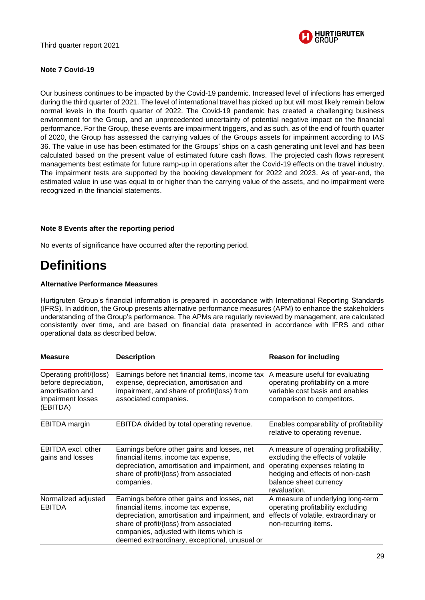

#### **Note 7 Covid-19**

Our business continues to be impacted by the Covid-19 pandemic. Increased level of infections has emerged during the third quarter of 2021. The level of international travel has picked up but will most likely remain below normal levels in the fourth quarter of 2022. The Covid-19 pandemic has created a challenging business environment for the Group, and an unprecedented uncertainty of potential negative impact on the financial performance. For the Group, these events are impairment triggers, and as such, as of the end of fourth quarter of 2020, the Group has assessed the carrying values of the Groups assets for impairment according to IAS 36. The value in use has been estimated for the Groups' ships on a cash generating unit level and has been calculated based on the present value of estimated future cash flows. The projected cash flows represent managements best estimate for future ramp-up in operations after the Covid-19 effects on the travel industry. The impairment tests are supported by the booking development for 2022 and 2023. As of year-end, the estimated value in use was equal to or higher than the carrying value of the assets, and no impairment were recognized in the financial statements.

#### **Note 8 Events after the reporting period**

No events of significance have occurred after the reporting period.

### **Definitions**

#### **Alternative Performance Measures**

Hurtigruten Group's financial information is prepared in accordance with International Reporting Standards (IFRS). In addition, the Group presents alternative performance measures (APM) to enhance the stakeholders understanding of the Group's performance. The APMs are regularly reviewed by management, are calculated consistently over time, and are based on financial data presented in accordance with IFRS and other operational data as described below.

| <b>Measure</b>                                                                                       | <b>Description</b>                                                                                                                                                                                                                                                          | <b>Reason for including</b><br>A measure useful for evaluating<br>operating profitability on a more<br>variable cost basis and enables<br>comparison to competitors.                      |  |  |
|------------------------------------------------------------------------------------------------------|-----------------------------------------------------------------------------------------------------------------------------------------------------------------------------------------------------------------------------------------------------------------------------|-------------------------------------------------------------------------------------------------------------------------------------------------------------------------------------------|--|--|
| Operating profit/(loss)<br>before depreciation,<br>amortisation and<br>impairment losses<br>(EBITDA) | Earnings before net financial items, income tax<br>expense, depreciation, amortisation and<br>impairment, and share of profit/(loss) from<br>associated companies.                                                                                                          |                                                                                                                                                                                           |  |  |
| <b>EBITDA</b> margin                                                                                 | EBITDA divided by total operating revenue.                                                                                                                                                                                                                                  | Enables comparability of profitability<br>relative to operating revenue.                                                                                                                  |  |  |
| <b>EBITDA</b> excl. other<br>gains and losses                                                        | Earnings before other gains and losses, net<br>financial items, income tax expense,<br>depreciation, amortisation and impairment, and<br>share of profit/(loss) from associated<br>companies.                                                                               | A measure of operating profitability,<br>excluding the effects of volatile<br>operating expenses relating to<br>hedging and effects of non-cash<br>balance sheet currency<br>revaluation. |  |  |
| Normalized adjusted<br><b>EBITDA</b>                                                                 | Earnings before other gains and losses, net<br>financial items, income tax expense,<br>depreciation, amortisation and impairment, and<br>share of profit/(loss) from associated<br>companies, adjusted with items which is<br>deemed extraordinary, exceptional, unusual or | A measure of underlying long-term<br>operating profitability excluding<br>effects of volatile, extraordinary or<br>non-recurring items.                                                   |  |  |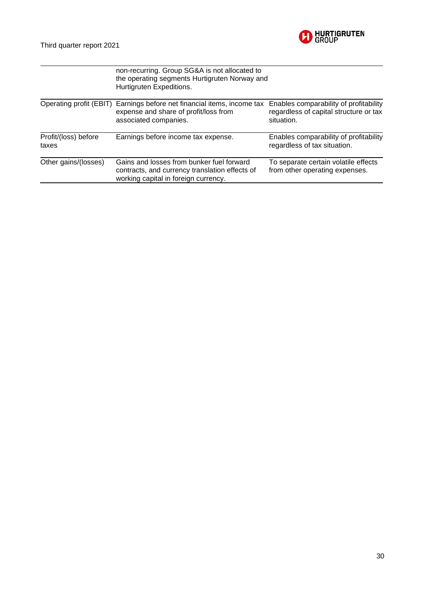

| Operating profit (EBIT)       | non-recurring. Group SG&A is not allocated to<br>the operating segments Hurtigruten Norway and<br>Hurtigruten Expeditions.          |                                                                                                |  |  |  |
|-------------------------------|-------------------------------------------------------------------------------------------------------------------------------------|------------------------------------------------------------------------------------------------|--|--|--|
|                               | Earnings before net financial items, income tax<br>expense and share of profit/loss from<br>associated companies.                   | Enables comparability of profitability<br>regardless of capital structure or tax<br>situation. |  |  |  |
| Profit/(loss) before<br>taxes | Earnings before income tax expense.                                                                                                 | Enables comparability of profitability<br>regardless of tax situation.                         |  |  |  |
| Other gains/(losses)          | Gains and losses from bunker fuel forward<br>contracts, and currency translation effects of<br>working capital in foreign currency. | To separate certain volatile effects<br>from other operating expenses.                         |  |  |  |